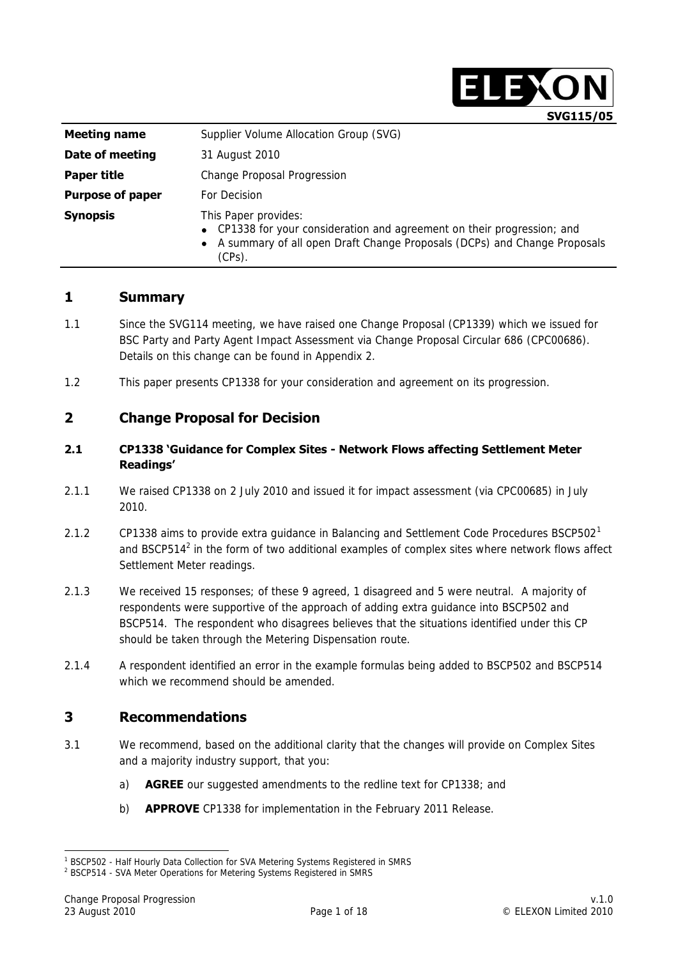

| <b>Meeting name</b>     | Supplier Volume Allocation Group (SVG)                                                                                                                                                  |  |  |  |  |
|-------------------------|-----------------------------------------------------------------------------------------------------------------------------------------------------------------------------------------|--|--|--|--|
| Date of meeting         | 31 August 2010                                                                                                                                                                          |  |  |  |  |
| Paper title             | Change Proposal Progression                                                                                                                                                             |  |  |  |  |
| <b>Purpose of paper</b> | For Decision                                                                                                                                                                            |  |  |  |  |
| <b>Synopsis</b>         | This Paper provides:<br>• CP1338 for your consideration and agreement on their progression; and<br>• A summary of all open Draft Change Proposals (DCPs) and Change Proposals<br>(CPs). |  |  |  |  |

## **1 Summary**

- 1.1 Since the SVG114 meeting, we have raised one Change Proposal (CP1339) which we issued for BSC Party and Party Agent Impact Assessment via Change Proposal Circular 686 (CPC00686). Details on this change can be found in Appendix 2.
- 1.2 This paper presents CP1338 for your consideration and agreement on its progression.

## **2 Change Proposal for Decision**

#### **2.1 CP1338 'Guidance for Complex Sites - Network Flows affecting Settlement Meter Readings'**

- 2.1.1 We raised CP1338 on 2 July 2010 and issued it for impact assessment (via CPC00685) in July 2010.
- 2.1.2 CP1338 aims to provide extra guidance in Balancing and Settlement Code Procedures BSCP502<sup>1</sup> and BSCP514 $^2$  in the form of two additional examples of complex sites where network flows affect Settlement Meter readings.
- 2.1.3 We received 15 responses; of these 9 agreed, 1 disagreed and 5 were neutral. A majority of respondents were supportive of the approach of adding extra guidance into BSCP502 and BSCP514. The respondent who disagrees believes that the situations identified under this CP should be taken through the Metering Dispensation route.
- 2.1.4 A respondent identified an error in the example formulas being added to BSCP502 and BSCP514 which we recommend should be amended.

## **3 Recommendations**

- 3.1 We recommend, based on the additional clarity that the changes will provide on Complex Sites and a majority industry support, that you:
	- a) **AGREE** our suggested amendments to the redline text for CP1338; and
	- b) **APPROVE** CP1338 for implementation in the February 2011 Release.

-

<sup>&</sup>lt;sup>1</sup> BSCP502 - Half Hourly Data Collection for SVA Metering Systems Registered in SMRS

<sup>&</sup>lt;sup>2</sup> BSCP514 - SVA Meter Operations for Metering Systems Registered in SMRS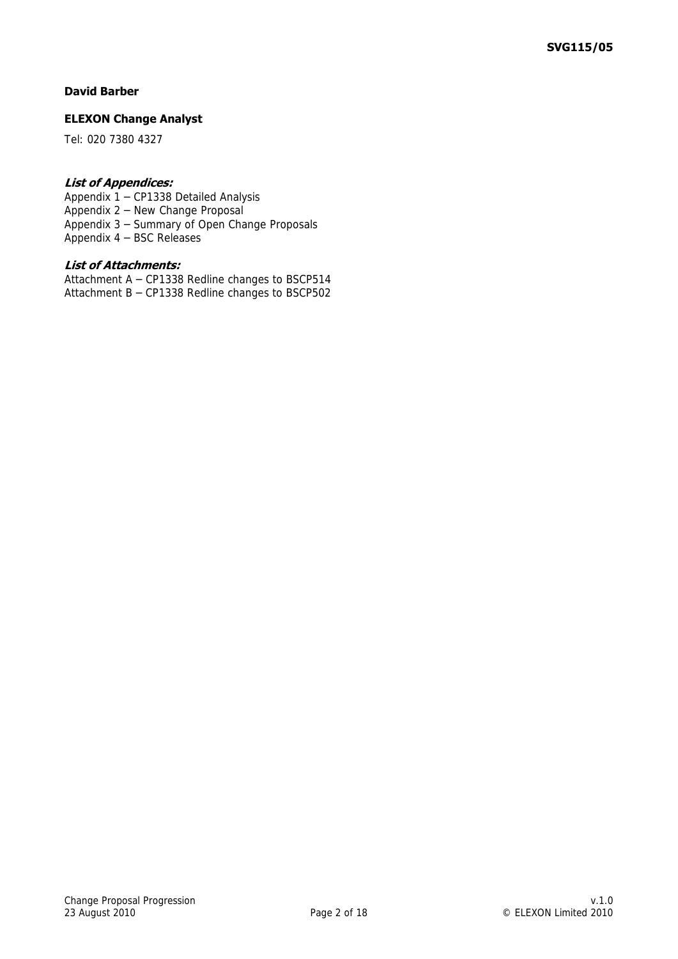#### **David Barber**

#### **ELEXON Change Analyst**

Tel: 020 7380 4327

#### **List of Appendices:**

Appendix 1 – CP1338 Detailed Analysis Appendix 2 – New Change Proposal Appendix 3 – Summary of Open Change Proposals Appendix 4 – BSC Releases

#### **List of Attachments:**

Attachment A – CP1338 Redline changes to BSCP514 Attachment B – CP1338 Redline changes to BSCP502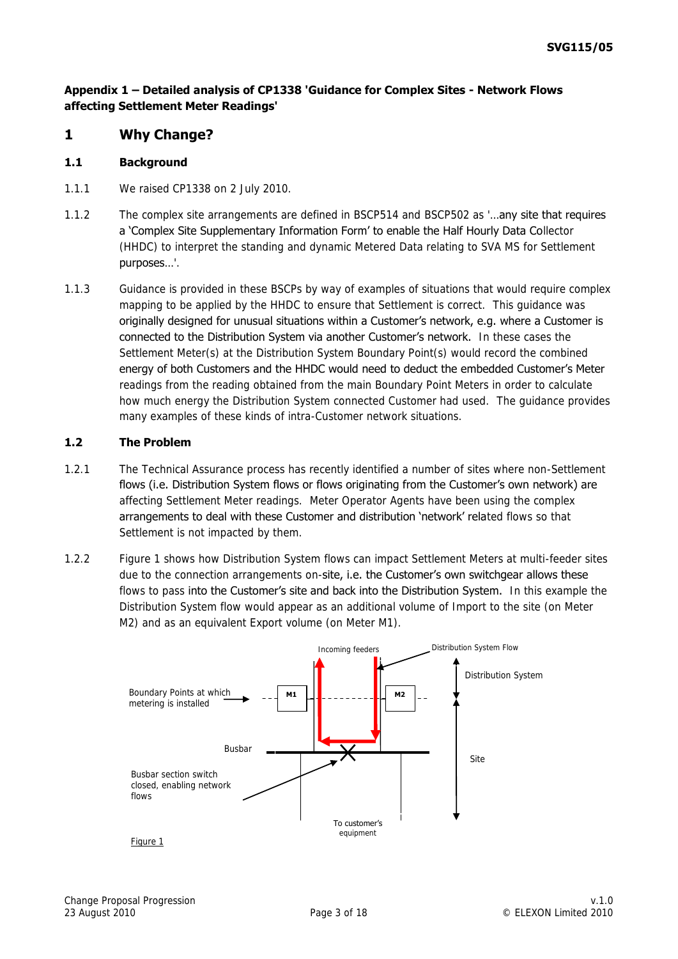## **Appendix 1 – Detailed analysis of CP1338 'Guidance for Complex Sites - Network Flows affecting Settlement Meter Readings'**

## **1 Why Change?**

#### **1.1 Background**

- 1.1.1 We raised CP1338 on 2 July 2010.
- 1.1.2 The complex site arrangements are defined in BSCP514 and BSCP502 as '...any site that requires a 'Complex Site Supplementary Information Form' to enable the Half Hourly Data Collector (HHDC) to interpret the standing and dynamic Metered Data relating to SVA MS for Settlement purposes…'.
- 1.1.3 Guidance is provided in these BSCPs by way of examples of situations that would require complex mapping to be applied by the HHDC to ensure that Settlement is correct. This guidance was originally designed for unusual situations within a Customer"s network, e.g. where a Customer is connected to the Distribution System via another Customer's network. In these cases the Settlement Meter(s) at the Distribution System Boundary Point(s) would record the combined energy of both Customers and the HHDC would need to deduct the embedded Customer"s Meter readings from the reading obtained from the main Boundary Point Meters in order to calculate how much energy the Distribution System connected Customer had used. The guidance provides many examples of these kinds of intra-Customer network situations.

## **1.2 The Problem**

- 1.2.1 The Technical Assurance process has recently identified a number of sites where non-Settlement flows (i.e. Distribution System flows or flows originating from the Customer's own network) are affecting Settlement Meter readings. Meter Operator Agents have been using the complex arrangements to deal with these Customer and distribution 'network' related flows so that Settlement is not impacted by them.
- 1.2.2 Figure 1 shows how Distribution System flows can impact Settlement Meters at multi-feeder sites due to the connection arrangements on-site, i.e. the Customer's own switchgear allows these flows to pass into the Customer's site and back into the Distribution System. In this example the Distribution System flow would appear as an additional volume of Import to the site (on Meter M2) and as an equivalent Export volume (on Meter M1).

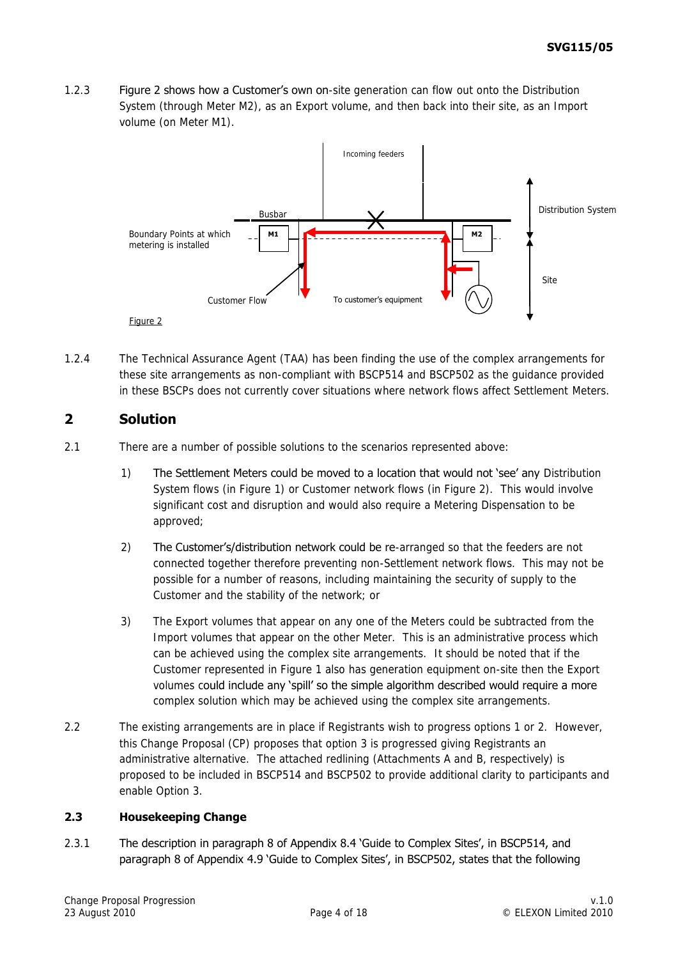1.2.3 **Figure 2 shows how a Customer's own on**-site generation can flow out onto the Distribution System (through Meter M2), as an Export volume, and then back into their site, as an Import volume (on Meter M1).



1.2.4 The Technical Assurance Agent (TAA) has been finding the use of the complex arrangements for these site arrangements as non-compliant with BSCP514 and BSCP502 as the guidance provided in these BSCPs does not currently cover situations where network flows affect Settlement Meters.

# **2 Solution**

- 2.1 There are a number of possible solutions to the scenarios represented above:
	- 1) The Settlement Meters could be moved to a location that would not "see" any Distribution System flows (in Figure 1) or Customer network flows (in Figure 2). This would involve significant cost and disruption and would also require a Metering Dispensation to be approved;
	- 2) The Customer's/distribution network could be re-arranged so that the feeders are not connected together therefore preventing non-Settlement network flows. This may not be possible for a number of reasons, including maintaining the security of supply to the Customer and the stability of the network; or
	- 3) The Export volumes that appear on any one of the Meters could be subtracted from the Import volumes that appear on the other Meter. This is an administrative process which can be achieved using the complex site arrangements. It should be noted that if the Customer represented in Figure 1 also has generation equipment on-site then the Export volumes could include any "spill" so the simple algorithm described would require a more complex solution which may be achieved using the complex site arrangements.
- 2.2 The existing arrangements are in place if Registrants wish to progress options 1 or 2. However, this Change Proposal (CP) proposes that option 3 is progressed giving Registrants an administrative alternative. The attached redlining (Attachments A and B, respectively) is proposed to be included in BSCP514 and BSCP502 to provide additional clarity to participants and enable Option 3.

## **2.3 Housekeeping Change**

2.3.1 The description in paragraph 8 of Appendix 8.4 "Guide to Complex Sites", in BSCP514, and paragraph 8 of Appendix 4.9 "Guide to Complex Sites", in BSCP502, states that the following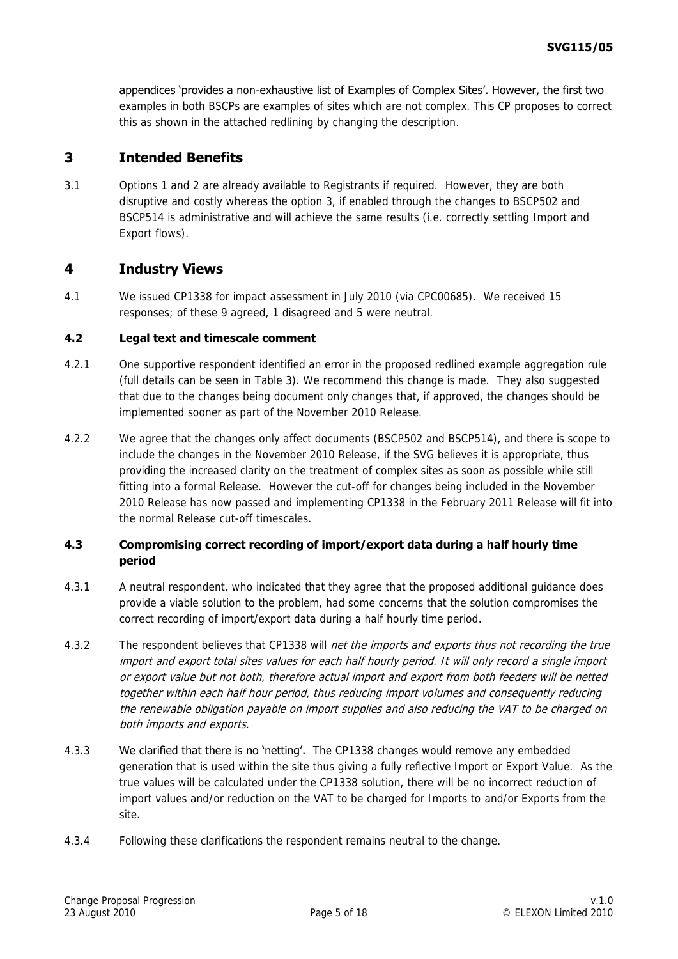appendices 'provides a non-exhaustive list of Examples of Complex Sites'. However, the first two examples in both BSCPs are examples of sites which are not complex. This CP proposes to correct this as shown in the attached redlining by changing the description.

# **3 Intended Benefits**

3.1 Options 1 and 2 are already available to Registrants if required. However, they are both disruptive and costly whereas the option 3, if enabled through the changes to BSCP502 and BSCP514 is administrative and will achieve the same results (i.e. correctly settling Import and Export flows).

## **4 Industry Views**

4.1 We issued CP1338 for impact assessment in July 2010 (via CPC00685). We received 15 responses; of these 9 agreed, 1 disagreed and 5 were neutral.

## **4.2 Legal text and timescale comment**

- 4.2.1 One supportive respondent identified an error in the proposed redlined example aggregation rule (full details can be seen in Table 3). We recommend this change is made. They also suggested that due to the changes being document only changes that, if approved, the changes should be implemented sooner as part of the November 2010 Release.
- 4.2.2 We agree that the changes only affect documents (BSCP502 and BSCP514), and there is scope to include the changes in the November 2010 Release, if the SVG believes it is appropriate, thus providing the increased clarity on the treatment of complex sites as soon as possible while still fitting into a formal Release. However the cut-off for changes being included in the November 2010 Release has now passed and implementing CP1338 in the February 2011 Release will fit into the normal Release cut-off timescales.

#### **4.3 Compromising correct recording of import/export data during a half hourly time period**

- 4.3.1 A neutral respondent, who indicated that they agree that the proposed additional guidance does provide a viable solution to the problem, had some concerns that the solution compromises the correct recording of import/export data during a half hourly time period.
- 4.3.2 The respondent believes that CP1338 will *net the imports and exports thus not recording the true* import and export total sites values for each half hourly period. It will only record a single import or export value but not both, therefore actual import and export from both feeders will be netted together within each half hour period, thus reducing import volumes and consequently reducing the renewable obligation payable on import supplies and also reducing the VAT to be charged on both imports and exports.
- 4.3.3 We clarified that there is no 'netting'. The CP1338 changes would remove any embedded generation that is used within the site thus giving a fully reflective Import or Export Value. As the true values will be calculated under the CP1338 solution, there will be no incorrect reduction of import values and/or reduction on the VAT to be charged for Imports to and/or Exports from the site.
- 4.3.4 Following these clarifications the respondent remains neutral to the change.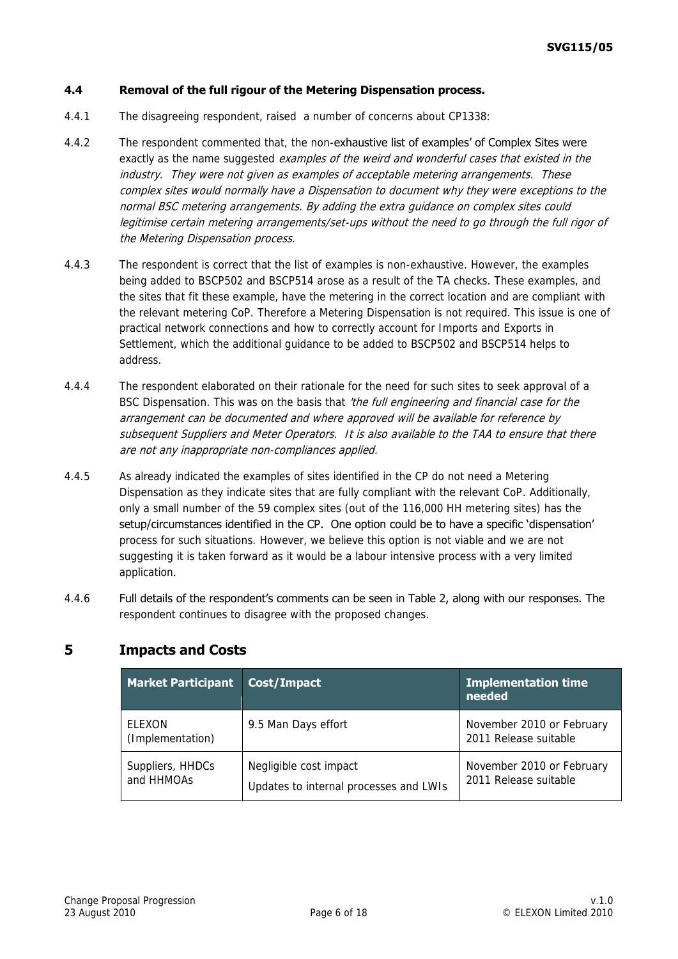#### **4.4 Removal of the full rigour of the Metering Dispensation process.**

- 4.4.1 The disagreeing respondent, raised a number of concerns about CP1338:
- 4.4.2 The respondent commented that, the non-exhaustive list of examples' of Complex Sites were exactly as the name suggested *examples of the weird and wonderful cases that existed in the* industry. They were not given as examples of acceptable metering arrangements. These complex sites would normally have a Dispensation to document why they were exceptions to the normal BSC metering arrangements. By adding the extra guidance on complex sites could legitimise certain metering arrangements/set-ups without the need to go through the full rigor of the Metering Dispensation process.
- 4.4.3 The respondent is correct that the list of examples is non-exhaustive. However, the examples being added to BSCP502 and BSCP514 arose as a result of the TA checks. These examples, and the sites that fit these example, have the metering in the correct location and are compliant with the relevant metering CoP. Therefore a Metering Dispensation is not required. This issue is one of practical network connections and how to correctly account for Imports and Exports in Settlement, which the additional guidance to be added to BSCP502 and BSCP514 helps to address.
- 4.4.4 The respondent elaborated on their rationale for the need for such sites to seek approval of a BSC Dispensation. This was on the basis that 'the full engineering and financial case for the arrangement can be documented and where approved will be available for reference by subsequent Suppliers and Meter Operators. It is also available to the TAA to ensure that there are not any inappropriate non-compliances applied.
- 4.4.5 As already indicated the examples of sites identified in the CP do not need a Metering Dispensation as they indicate sites that are fully compliant with the relevant CoP. Additionally, only a small number of the 59 complex sites (out of the 116,000 HH metering sites) has the setup/circumstances identified in the CP. One option could be to have a specific 'dispensation' process for such situations. However, we believe this option is not viable and we are not suggesting it is taken forward as it would be a labour intensive process with a very limited application.
- 4.4.6 Full details of the respondent"s comments can be seen in Table 2, along with our responses. The respondent continues to disagree with the proposed changes.

#### **Market Participant Cost/Impact Implementation time needed ELEXON** (Implementation) 9.5 Man Days effort November 2010 or February 2011 Release suitable Suppliers, HHDCs and HHMOAs Negligible cost impact Updates to internal processes and LWIs November 2010 or February 2011 Release suitable

## **5 Impacts and Costs**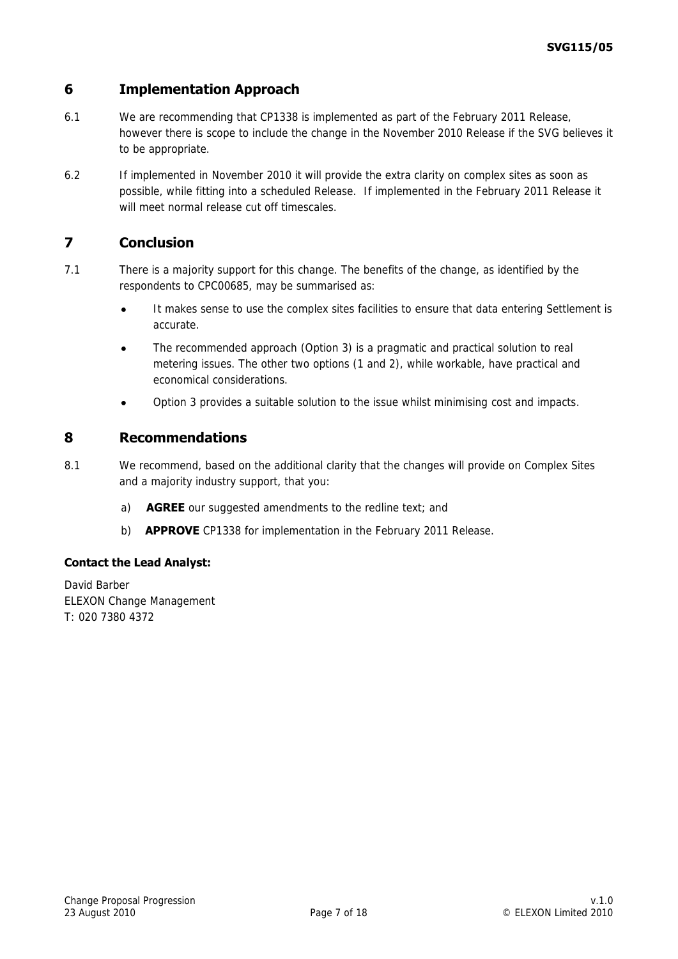## **6 Implementation Approach**

- 6.1 We are recommending that CP1338 is implemented as part of the February 2011 Release, however there is scope to include the change in the November 2010 Release if the SVG believes it to be appropriate.
- 6.2 If implemented in November 2010 it will provide the extra clarity on complex sites as soon as possible, while fitting into a scheduled Release. If implemented in the February 2011 Release it will meet normal release cut off timescales.

## **7 Conclusion**

- 7.1 There is a majority support for this change. The benefits of the change, as identified by the respondents to CPC00685, may be summarised as:
	- It makes sense to use the complex sites facilities to ensure that data entering Settlement is  $\ddot{\phantom{a}}$ accurate.
	- The recommended approach (Option 3) is a pragmatic and practical solution to real metering issues. The other two options (1 and 2), while workable, have practical and economical considerations.
	- Option 3 provides a suitable solution to the issue whilst minimising cost and impacts.

## **8 Recommendations**

- 8.1 We recommend, based on the additional clarity that the changes will provide on Complex Sites and a majority industry support, that you:
	- a) **AGREE** our suggested amendments to the redline text; and
	- b) **APPROVE** CP1338 for implementation in the February 2011 Release.

#### **Contact the Lead Analyst:**

David Barber ELEXON Change Management T: 020 7380 4372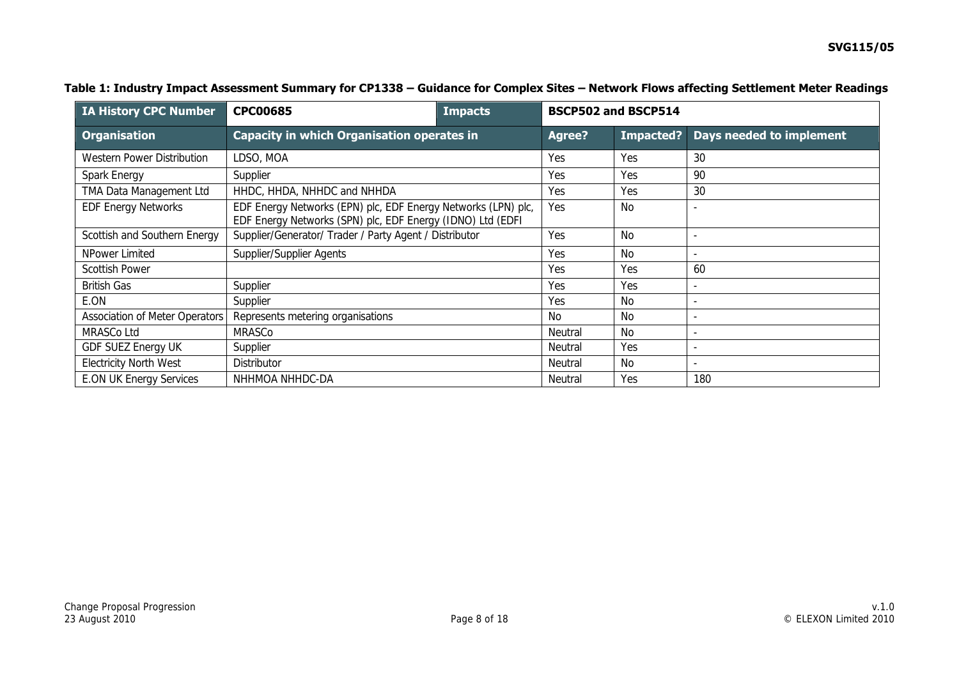| <b>IA History CPC Number</b>   | <b>CPC00685</b><br><b>Impacts</b>                                                                                           |         |               | <b>BSCP502 and BSCP514</b> |                          |
|--------------------------------|-----------------------------------------------------------------------------------------------------------------------------|---------|---------------|----------------------------|--------------------------|
| <b>Organisation</b>            | <b>Capacity in which Organisation operates in</b>                                                                           |         | <b>Agree?</b> | Impacted?                  | Days needed to implement |
| Western Power Distribution     | LDSO, MOA                                                                                                                   |         | Yes           | Yes                        | 30                       |
| Spark Energy                   | Supplier                                                                                                                    |         | Yes           | Yes                        | 90                       |
| TMA Data Management Ltd        | HHDC, HHDA, NHHDC and NHHDA                                                                                                 |         | Yes           | Yes                        | 30                       |
| <b>EDF Energy Networks</b>     | EDF Energy Networks (EPN) plc, EDF Energy Networks (LPN) plc,<br>EDF Energy Networks (SPN) plc, EDF Energy (IDNO) Ltd (EDFI |         | Yes           | No                         | $\overline{a}$           |
| Scottish and Southern Energy   | Supplier/Generator/ Trader / Party Agent / Distributor                                                                      |         | Yes           | <b>No</b>                  | $\overline{\phantom{a}}$ |
| NPower Limited                 | Supplier/Supplier Agents                                                                                                    |         | Yes           | <b>No</b>                  |                          |
| Scottish Power                 |                                                                                                                             |         | Yes           | Yes                        | 60                       |
| <b>British Gas</b>             | Supplier                                                                                                                    |         | Yes           | Yes                        |                          |
| E.ON                           | Supplier                                                                                                                    |         | Yes           | No                         | $\overline{\phantom{a}}$ |
| Association of Meter Operators | Represents metering organisations                                                                                           |         | <b>No</b>     | No.                        | $\overline{\phantom{0}}$ |
| MRASCo Ltd                     | <b>MRASCo</b>                                                                                                               |         | Neutral       | No                         | $\overline{\phantom{a}}$ |
| <b>GDF SUEZ Energy UK</b>      | Supplier                                                                                                                    | Neutral | Yes           | $\overline{\phantom{a}}$   |                          |
| <b>Electricity North West</b>  | Distributor                                                                                                                 |         | Neutral       | No.                        | $\overline{\phantom{a}}$ |
| <b>E.ON UK Energy Services</b> | NHHMOA NHHDC-DA                                                                                                             |         | Neutral       | Yes                        | 180                      |

#### **Table 1: Industry Impact Assessment Summary for CP1338 – Guidance for Complex Sites – Network Flows affecting Settlement Meter Readings**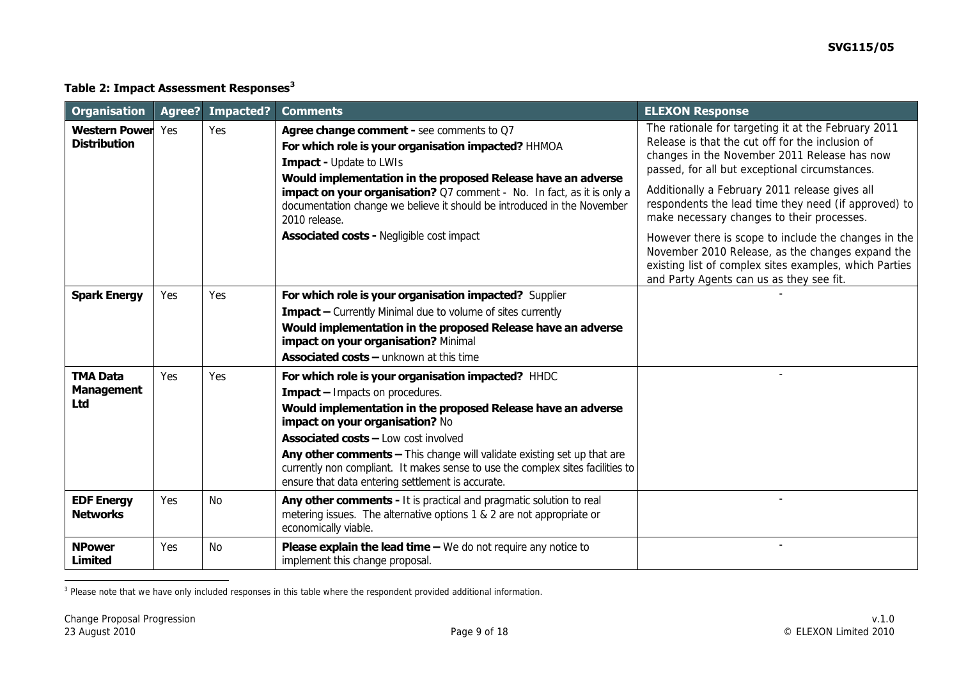## **Table 2: Impact Assessment Responses<sup>3</sup>**

| <b>Organisation</b>                         | Agree? | Impacted? | <b>Comments</b>                                                                                                                                                                                                                                                                                                                                                                                                                                                  | <b>ELEXON Response</b>                                                                                                                                                                                                                                                                                                                                                                                                    |
|---------------------------------------------|--------|-----------|------------------------------------------------------------------------------------------------------------------------------------------------------------------------------------------------------------------------------------------------------------------------------------------------------------------------------------------------------------------------------------------------------------------------------------------------------------------|---------------------------------------------------------------------------------------------------------------------------------------------------------------------------------------------------------------------------------------------------------------------------------------------------------------------------------------------------------------------------------------------------------------------------|
| <b>Western Power</b><br><b>Distribution</b> | Yes    | Yes       | Agree change comment - see comments to Q7<br>For which role is your organisation impacted? HHMOA<br><b>Impact - Update to LWIs</b><br>Would implementation in the proposed Release have an adverse<br><b>impact on your organisation?</b> Q7 comment - No. In fact, as it is only a<br>documentation change we believe it should be introduced in the November<br>2010 release.<br><b>Associated costs - Negligible cost impact</b>                              | The rationale for targeting it at the February 2011<br>Release is that the cut off for the inclusion of<br>changes in the November 2011 Release has now<br>passed, for all but exceptional circumstances.<br>Additionally a February 2011 release gives all<br>respondents the lead time they need (if approved) to<br>make necessary changes to their processes.<br>However there is scope to include the changes in the |
|                                             |        |           |                                                                                                                                                                                                                                                                                                                                                                                                                                                                  | November 2010 Release, as the changes expand the<br>existing list of complex sites examples, which Parties<br>and Party Agents can us as they see fit.                                                                                                                                                                                                                                                                    |
| <b>Spark Energy</b>                         | Yes    | Yes       | For which role is your organisation impacted? Supplier<br><b>Impact</b> - Currently Minimal due to volume of sites currently<br>Would implementation in the proposed Release have an adverse<br><b>impact on your organisation? Minimal</b><br><b>Associated costs - unknown at this time</b>                                                                                                                                                                    |                                                                                                                                                                                                                                                                                                                                                                                                                           |
| <b>TMA Data</b><br><b>Management</b><br>Ltd | Yes    | Yes       | For which role is your organisation impacted? HHDC<br><b>Impact</b> - Impacts on procedures.<br>Would implementation in the proposed Release have an adverse<br>impact on your organisation? No<br><b>Associated costs - Low cost involved</b><br>Any other comments - This change will validate existing set up that are<br>currently non compliant. It makes sense to use the complex sites facilities to<br>ensure that data entering settlement is accurate. |                                                                                                                                                                                                                                                                                                                                                                                                                           |
| <b>EDF Energy</b><br><b>Networks</b>        | Yes    | <b>No</b> | Any other comments - It is practical and pragmatic solution to real<br>metering issues. The alternative options 1 & 2 are not appropriate or<br>economically viable.                                                                                                                                                                                                                                                                                             |                                                                                                                                                                                                                                                                                                                                                                                                                           |
| <b>NPower</b><br><b>Limited</b>             | Yes    | <b>No</b> | Please explain the lead time - We do not require any notice to<br>implement this change proposal.                                                                                                                                                                                                                                                                                                                                                                |                                                                                                                                                                                                                                                                                                                                                                                                                           |

 3 Please note that we have only included responses in this table where the respondent provided additional information.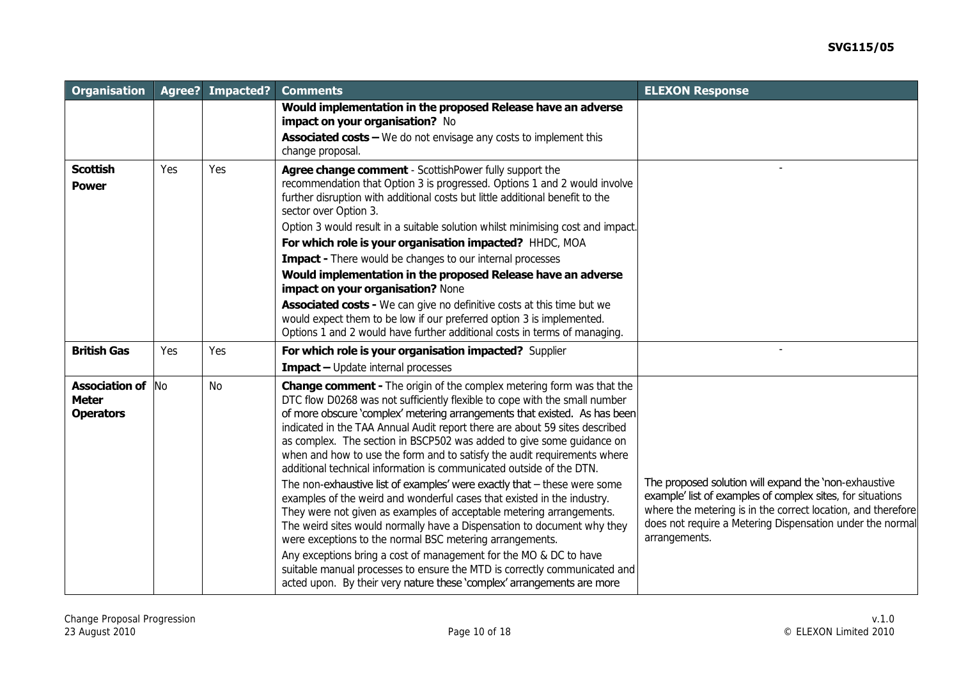| <b>Organisation</b>                                       | Agree?    | <b>Impacted?</b> | <b>Comments</b>                                                                                                                                                                                                                                                                                                                                                                                                                                                                                                                                                                                                                                                                                                                                                                                                                                                                                                                                                                                                                                                                                                                                         | <b>ELEXON Response</b>                                                                                                                                                                                                                                            |
|-----------------------------------------------------------|-----------|------------------|---------------------------------------------------------------------------------------------------------------------------------------------------------------------------------------------------------------------------------------------------------------------------------------------------------------------------------------------------------------------------------------------------------------------------------------------------------------------------------------------------------------------------------------------------------------------------------------------------------------------------------------------------------------------------------------------------------------------------------------------------------------------------------------------------------------------------------------------------------------------------------------------------------------------------------------------------------------------------------------------------------------------------------------------------------------------------------------------------------------------------------------------------------|-------------------------------------------------------------------------------------------------------------------------------------------------------------------------------------------------------------------------------------------------------------------|
|                                                           |           |                  | Would implementation in the proposed Release have an adverse<br>impact on your organisation? No                                                                                                                                                                                                                                                                                                                                                                                                                                                                                                                                                                                                                                                                                                                                                                                                                                                                                                                                                                                                                                                         |                                                                                                                                                                                                                                                                   |
|                                                           |           |                  | <b>Associated costs - We do not envisage any costs to implement this</b><br>change proposal.                                                                                                                                                                                                                                                                                                                                                                                                                                                                                                                                                                                                                                                                                                                                                                                                                                                                                                                                                                                                                                                            |                                                                                                                                                                                                                                                                   |
| <b>Scottish</b><br><b>Power</b>                           | Yes       | Yes              | Agree change comment - ScottishPower fully support the<br>recommendation that Option 3 is progressed. Options 1 and 2 would involve<br>further disruption with additional costs but little additional benefit to the<br>sector over Option 3.<br>Option 3 would result in a suitable solution whilst minimising cost and impact.                                                                                                                                                                                                                                                                                                                                                                                                                                                                                                                                                                                                                                                                                                                                                                                                                        |                                                                                                                                                                                                                                                                   |
|                                                           |           |                  | For which role is your organisation impacted? HHDC, MOA<br><b>Impact</b> - There would be changes to our internal processes                                                                                                                                                                                                                                                                                                                                                                                                                                                                                                                                                                                                                                                                                                                                                                                                                                                                                                                                                                                                                             |                                                                                                                                                                                                                                                                   |
|                                                           |           |                  | Would implementation in the proposed Release have an adverse<br>impact on your organisation? None                                                                                                                                                                                                                                                                                                                                                                                                                                                                                                                                                                                                                                                                                                                                                                                                                                                                                                                                                                                                                                                       |                                                                                                                                                                                                                                                                   |
|                                                           |           |                  | <b>Associated costs -</b> We can give no definitive costs at this time but we<br>would expect them to be low if our preferred option 3 is implemented.<br>Options 1 and 2 would have further additional costs in terms of managing.                                                                                                                                                                                                                                                                                                                                                                                                                                                                                                                                                                                                                                                                                                                                                                                                                                                                                                                     |                                                                                                                                                                                                                                                                   |
| <b>British Gas</b>                                        | Yes       | Yes              | For which role is your organisation impacted? Supplier                                                                                                                                                                                                                                                                                                                                                                                                                                                                                                                                                                                                                                                                                                                                                                                                                                                                                                                                                                                                                                                                                                  |                                                                                                                                                                                                                                                                   |
|                                                           |           |                  | <b>Impact</b> - Update internal processes                                                                                                                                                                                                                                                                                                                                                                                                                                                                                                                                                                                                                                                                                                                                                                                                                                                                                                                                                                                                                                                                                                               |                                                                                                                                                                                                                                                                   |
| <b>Association of</b><br><b>Meter</b><br><b>Operators</b> | <b>No</b> | <b>No</b>        | <b>Change comment -</b> The origin of the complex metering form was that the<br>DTC flow D0268 was not sufficiently flexible to cope with the small number<br>of more obscure 'complex' metering arrangements that existed. As has been<br>indicated in the TAA Annual Audit report there are about 59 sites described<br>as complex. The section in BSCP502 was added to give some guidance on<br>when and how to use the form and to satisfy the audit requirements where<br>additional technical information is communicated outside of the DTN.<br>The non-exhaustive list of examples' were exactly that $-$ these were some<br>examples of the weird and wonderful cases that existed in the industry.<br>They were not given as examples of acceptable metering arrangements.<br>The weird sites would normally have a Dispensation to document why they<br>were exceptions to the normal BSC metering arrangements.<br>Any exceptions bring a cost of management for the MO & DC to have<br>suitable manual processes to ensure the MTD is correctly communicated and<br>acted upon. By their very nature these 'complex' arrangements are more | The proposed solution will expand the 'non-exhaustive<br>example' list of examples of complex sites, for situations<br>where the metering is in the correct location, and therefore<br>does not require a Metering Dispensation under the normal<br>arrangements. |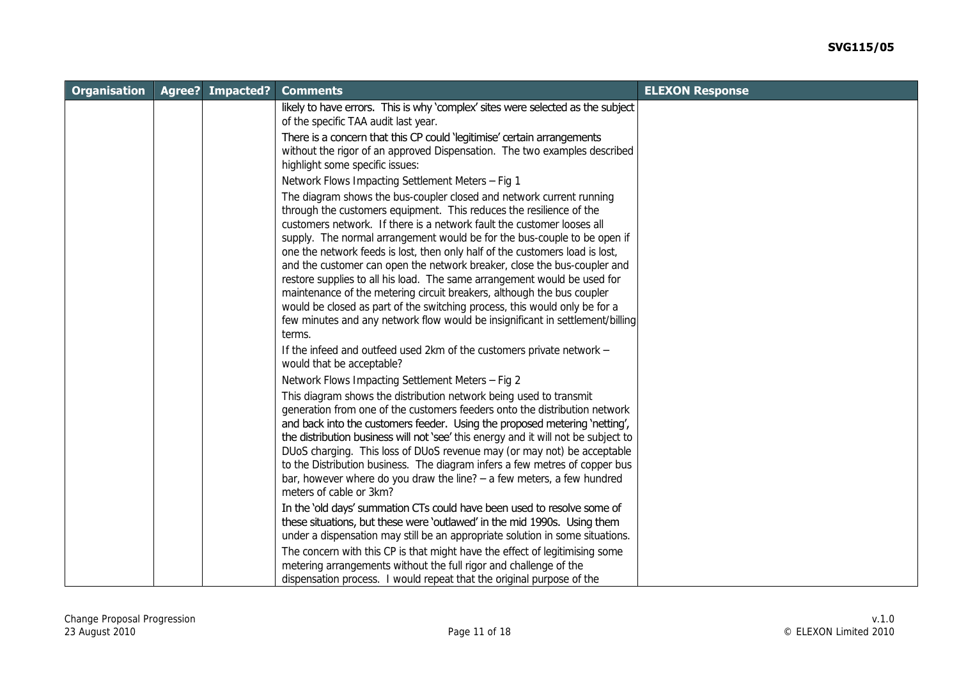| <b>Organisation</b> | <b>Agree? Impacted?</b> | <b>Comments</b>                                                                                                                                    | <b>ELEXON Response</b> |
|---------------------|-------------------------|----------------------------------------------------------------------------------------------------------------------------------------------------|------------------------|
|                     |                         | likely to have errors. This is why 'complex' sites were selected as the subject                                                                    |                        |
|                     |                         | of the specific TAA audit last year.                                                                                                               |                        |
|                     |                         | There is a concern that this CP could 'legitimise' certain arrangements                                                                            |                        |
|                     |                         | without the rigor of an approved Dispensation. The two examples described                                                                          |                        |
|                     |                         | highlight some specific issues:                                                                                                                    |                        |
|                     |                         | Network Flows Impacting Settlement Meters - Fig 1                                                                                                  |                        |
|                     |                         | The diagram shows the bus-coupler closed and network current running                                                                               |                        |
|                     |                         | through the customers equipment. This reduces the resilience of the                                                                                |                        |
|                     |                         | customers network. If there is a network fault the customer looses all                                                                             |                        |
|                     |                         | supply. The normal arrangement would be for the bus-couple to be open if                                                                           |                        |
|                     |                         | one the network feeds is lost, then only half of the customers load is lost,                                                                       |                        |
|                     |                         | and the customer can open the network breaker, close the bus-coupler and                                                                           |                        |
|                     |                         | restore supplies to all his load. The same arrangement would be used for<br>maintenance of the metering circuit breakers, although the bus coupler |                        |
|                     |                         | would be closed as part of the switching process, this would only be for a                                                                         |                        |
|                     |                         | few minutes and any network flow would be insignificant in settlement/billing                                                                      |                        |
|                     |                         | terms.                                                                                                                                             |                        |
|                     |                         | If the infeed and outfeed used 2km of the customers private network -                                                                              |                        |
|                     |                         | would that be acceptable?                                                                                                                          |                        |
|                     |                         | Network Flows Impacting Settlement Meters - Fig 2                                                                                                  |                        |
|                     |                         | This diagram shows the distribution network being used to transmit                                                                                 |                        |
|                     |                         | generation from one of the customers feeders onto the distribution network                                                                         |                        |
|                     |                         | and back into the customers feeder. Using the proposed metering 'netting',                                                                         |                        |
|                     |                         | the distribution business will not 'see' this energy and it will not be subject to                                                                 |                        |
|                     |                         | DUoS charging. This loss of DUoS revenue may (or may not) be acceptable                                                                            |                        |
|                     |                         | to the Distribution business. The diagram infers a few metres of copper bus                                                                        |                        |
|                     |                         | bar, however where do you draw the line? $-$ a few meters, a few hundred                                                                           |                        |
|                     |                         | meters of cable or 3km?                                                                                                                            |                        |
|                     |                         | In the 'old days' summation CTs could have been used to resolve some of                                                                            |                        |
|                     |                         | these situations, but these were 'outlawed' in the mid 1990s. Using them                                                                           |                        |
|                     |                         | under a dispensation may still be an appropriate solution in some situations.                                                                      |                        |
|                     |                         | The concern with this CP is that might have the effect of legitimising some                                                                        |                        |
|                     |                         | metering arrangements without the full rigor and challenge of the                                                                                  |                        |
|                     |                         | dispensation process. I would repeat that the original purpose of the                                                                              |                        |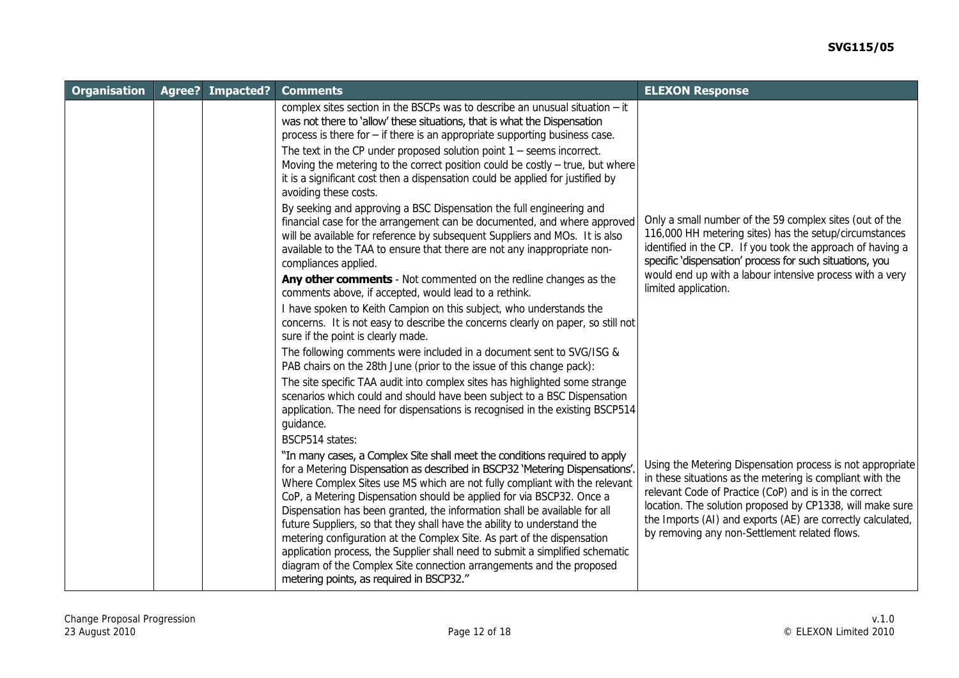| <b>Organisation</b> | Agree? | Impacted? | <b>Comments</b>                                                                                                                                                                                                                                                                                                                                                                                                                                                                                                                                                                                                                                                                                                                                                                                                                                                                                                                                                                                                                                                                                                                                                                                                                                                   | <b>ELEXON Response</b>                                                                                                                                                                                                                                                                                                                                        |
|---------------------|--------|-----------|-------------------------------------------------------------------------------------------------------------------------------------------------------------------------------------------------------------------------------------------------------------------------------------------------------------------------------------------------------------------------------------------------------------------------------------------------------------------------------------------------------------------------------------------------------------------------------------------------------------------------------------------------------------------------------------------------------------------------------------------------------------------------------------------------------------------------------------------------------------------------------------------------------------------------------------------------------------------------------------------------------------------------------------------------------------------------------------------------------------------------------------------------------------------------------------------------------------------------------------------------------------------|---------------------------------------------------------------------------------------------------------------------------------------------------------------------------------------------------------------------------------------------------------------------------------------------------------------------------------------------------------------|
|                     |        |           | complex sites section in the BSCPs was to describe an unusual situation $-$ it<br>was not there to 'allow' these situations, that is what the Dispensation<br>process is there for $-$ if there is an appropriate supporting business case.<br>The text in the CP under proposed solution point $1 -$ seems incorrect.<br>Moving the metering to the correct position could be costly $-$ true, but where<br>it is a significant cost then a dispensation could be applied for justified by<br>avoiding these costs.<br>By seeking and approving a BSC Dispensation the full engineering and<br>financial case for the arrangement can be documented, and where approved<br>will be available for reference by subsequent Suppliers and MOs. It is also<br>available to the TAA to ensure that there are not any inappropriate non-<br>compliances applied.<br>Any other comments - Not commented on the redline changes as the<br>comments above, if accepted, would lead to a rethink.<br>I have spoken to Keith Campion on this subject, who understands the<br>concerns. It is not easy to describe the concerns clearly on paper, so still not<br>sure if the point is clearly made.<br>The following comments were included in a document sent to SVG/ISG & | Only a small number of the 59 complex sites (out of the<br>116,000 HH metering sites) has the setup/circumstances<br>identified in the CP. If you took the approach of having a<br>specific 'dispensation' process for such situations, you<br>would end up with a labour intensive process with a very<br>limited application.                               |
|                     |        |           | PAB chairs on the 28th June (prior to the issue of this change pack):<br>The site specific TAA audit into complex sites has highlighted some strange<br>scenarios which could and should have been subject to a BSC Dispensation<br>application. The need for dispensations is recognised in the existing BSCP514<br>guidance.<br><b>BSCP514</b> states:<br>"In many cases, a Complex Site shall meet the conditions required to apply<br>for a Metering Dispensation as described in BSCP32 'Metering Dispensations'.<br>Where Complex Sites use MS which are not fully compliant with the relevant<br>CoP, a Metering Dispensation should be applied for via BSCP32. Once a<br>Dispensation has been granted, the information shall be available for all<br>future Suppliers, so that they shall have the ability to understand the<br>metering configuration at the Complex Site. As part of the dispensation<br>application process, the Supplier shall need to submit a simplified schematic<br>diagram of the Complex Site connection arrangements and the proposed<br>metering points, as required in BSCP32."                                                                                                                                             | Using the Metering Dispensation process is not appropriate<br>in these situations as the metering is compliant with the<br>relevant Code of Practice (CoP) and is in the correct<br>location. The solution proposed by CP1338, will make sure<br>the Imports (AI) and exports (AE) are correctly calculated,<br>by removing any non-Settlement related flows. |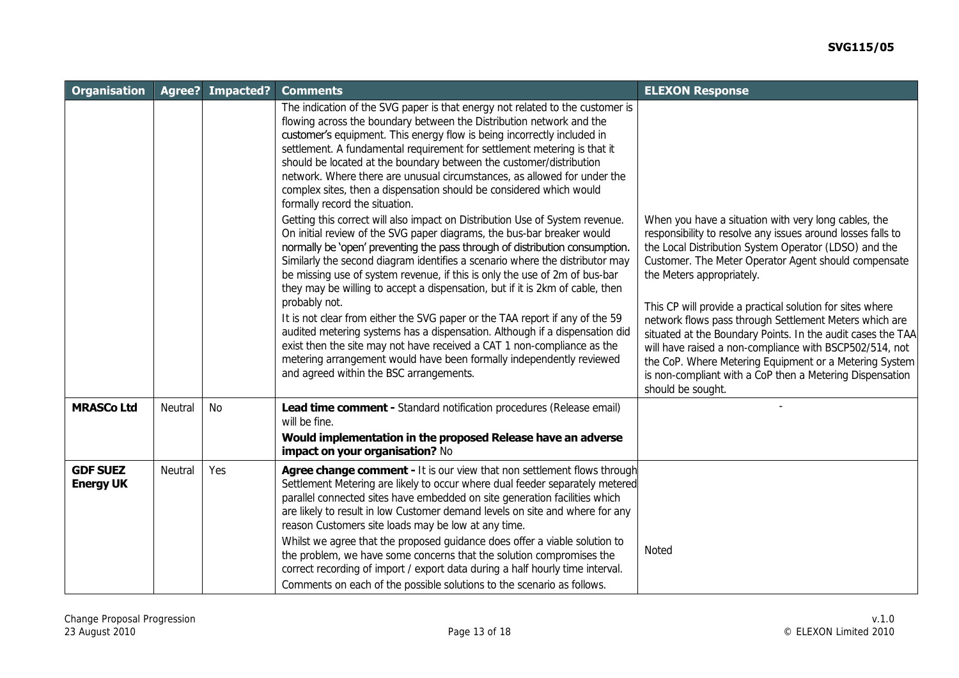| <b>Organisation</b>                 | Agree?  | Impacted? | <b>Comments</b>                                                                                                                                                                                                                                                                                                                                                                                                                                                                                                                                                                                                                                                                                                                                                                                                                                                    | <b>ELEXON Response</b>                                                                                                                                                                                                                                                                                                                                                                                                                                                                                                                                                                                                                                        |
|-------------------------------------|---------|-----------|--------------------------------------------------------------------------------------------------------------------------------------------------------------------------------------------------------------------------------------------------------------------------------------------------------------------------------------------------------------------------------------------------------------------------------------------------------------------------------------------------------------------------------------------------------------------------------------------------------------------------------------------------------------------------------------------------------------------------------------------------------------------------------------------------------------------------------------------------------------------|---------------------------------------------------------------------------------------------------------------------------------------------------------------------------------------------------------------------------------------------------------------------------------------------------------------------------------------------------------------------------------------------------------------------------------------------------------------------------------------------------------------------------------------------------------------------------------------------------------------------------------------------------------------|
|                                     |         |           | The indication of the SVG paper is that energy not related to the customer is<br>flowing across the boundary between the Distribution network and the<br>customer's equipment. This energy flow is being incorrectly included in<br>settlement. A fundamental requirement for settlement metering is that it<br>should be located at the boundary between the customer/distribution<br>network. Where there are unusual circumstances, as allowed for under the<br>complex sites, then a dispensation should be considered which would<br>formally record the situation.                                                                                                                                                                                                                                                                                           |                                                                                                                                                                                                                                                                                                                                                                                                                                                                                                                                                                                                                                                               |
|                                     |         |           | Getting this correct will also impact on Distribution Use of System revenue.<br>On initial review of the SVG paper diagrams, the bus-bar breaker would<br>normally be 'open' preventing the pass through of distribution consumption.<br>Similarly the second diagram identifies a scenario where the distributor may<br>be missing use of system revenue, if this is only the use of 2m of bus-bar<br>they may be willing to accept a dispensation, but if it is 2km of cable, then<br>probably not.<br>It is not clear from either the SVG paper or the TAA report if any of the 59<br>audited metering systems has a dispensation. Although if a dispensation did<br>exist then the site may not have received a CAT 1 non-compliance as the<br>metering arrangement would have been formally independently reviewed<br>and agreed within the BSC arrangements. | When you have a situation with very long cables, the<br>responsibility to resolve any issues around losses falls to<br>the Local Distribution System Operator (LDSO) and the<br>Customer. The Meter Operator Agent should compensate<br>the Meters appropriately.<br>This CP will provide a practical solution for sites where<br>network flows pass through Settlement Meters which are<br>situated at the Boundary Points. In the audit cases the TAA<br>will have raised a non-compliance with BSCP502/514, not<br>the CoP. Where Metering Equipment or a Metering System<br>is non-compliant with a CoP then a Metering Dispensation<br>should be sought. |
| <b>MRASCo Ltd</b>                   | Neutral | <b>No</b> | Lead time comment - Standard notification procedures (Release email)<br>will be fine.<br>Would implementation in the proposed Release have an adverse<br>impact on your organisation? No                                                                                                                                                                                                                                                                                                                                                                                                                                                                                                                                                                                                                                                                           |                                                                                                                                                                                                                                                                                                                                                                                                                                                                                                                                                                                                                                                               |
| <b>GDF SUEZ</b><br><b>Energy UK</b> | Neutral | Yes       | Agree change comment - It is our view that non settlement flows through<br>Settlement Metering are likely to occur where dual feeder separately metered<br>parallel connected sites have embedded on site generation facilities which<br>are likely to result in low Customer demand levels on site and where for any<br>reason Customers site loads may be low at any time.<br>Whilst we agree that the proposed guidance does offer a viable solution to<br>the problem, we have some concerns that the solution compromises the<br>correct recording of import / export data during a half hourly time interval.<br>Comments on each of the possible solutions to the scenario as follows.                                                                                                                                                                      | Noted                                                                                                                                                                                                                                                                                                                                                                                                                                                                                                                                                                                                                                                         |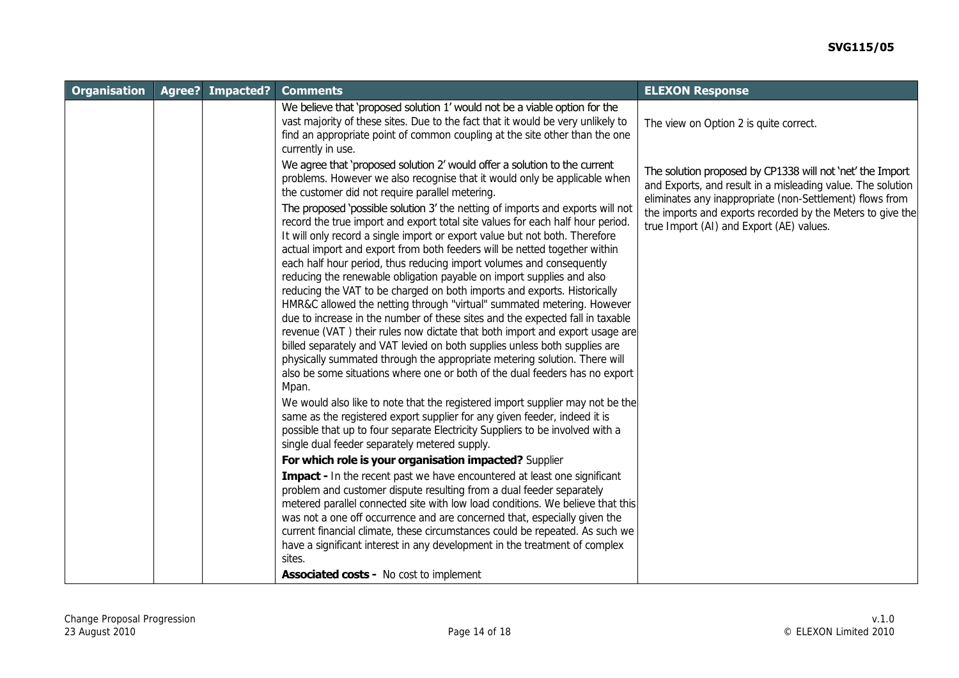| <b>Organisation</b> | Agree? | Impacted? | <b>Comments</b>                                                                                                                                                                                                                                                                                                                                                                                                                                                                                                                                                                                                                                                                                                                                                                                                                                                                                                                                                                                                                                                                                                                                                                                                                                                                                                                                                                                                                                                                                                                                                                                                                                                                                                                                                                                                                                                    | <b>ELEXON Response</b>                                                                                                                                                                                                                                                                         |
|---------------------|--------|-----------|--------------------------------------------------------------------------------------------------------------------------------------------------------------------------------------------------------------------------------------------------------------------------------------------------------------------------------------------------------------------------------------------------------------------------------------------------------------------------------------------------------------------------------------------------------------------------------------------------------------------------------------------------------------------------------------------------------------------------------------------------------------------------------------------------------------------------------------------------------------------------------------------------------------------------------------------------------------------------------------------------------------------------------------------------------------------------------------------------------------------------------------------------------------------------------------------------------------------------------------------------------------------------------------------------------------------------------------------------------------------------------------------------------------------------------------------------------------------------------------------------------------------------------------------------------------------------------------------------------------------------------------------------------------------------------------------------------------------------------------------------------------------------------------------------------------------------------------------------------------------|------------------------------------------------------------------------------------------------------------------------------------------------------------------------------------------------------------------------------------------------------------------------------------------------|
|                     |        |           | We believe that 'proposed solution 1' would not be a viable option for the<br>vast majority of these sites. Due to the fact that it would be very unlikely to<br>find an appropriate point of common coupling at the site other than the one<br>currently in use.                                                                                                                                                                                                                                                                                                                                                                                                                                                                                                                                                                                                                                                                                                                                                                                                                                                                                                                                                                                                                                                                                                                                                                                                                                                                                                                                                                                                                                                                                                                                                                                                  | The view on Option 2 is quite correct.                                                                                                                                                                                                                                                         |
|                     |        |           | We agree that 'proposed solution 2' would offer a solution to the current<br>problems. However we also recognise that it would only be applicable when<br>the customer did not require parallel metering.<br>The proposed 'possible solution 3' the netting of imports and exports will not<br>record the true import and export total site values for each half hour period<br>It will only record a single import or export value but not both. Therefore<br>actual import and export from both feeders will be netted together within<br>each half hour period, thus reducing import volumes and consequently<br>reducing the renewable obligation payable on import supplies and also<br>reducing the VAT to be charged on both imports and exports. Historically<br>HMR&C allowed the netting through "virtual" summated metering. However<br>due to increase in the number of these sites and the expected fall in taxable<br>revenue (VAT) their rules now dictate that both import and export usage are<br>billed separately and VAT levied on both supplies unless both supplies are<br>physically summated through the appropriate metering solution. There will<br>also be some situations where one or both of the dual feeders has no export<br>Mpan.<br>We would also like to note that the registered import supplier may not be the<br>same as the registered export supplier for any given feeder, indeed it is<br>possible that up to four separate Electricity Suppliers to be involved with a<br>single dual feeder separately metered supply.<br>For which role is your organisation impacted? Supplier<br>Impact - In the recent past we have encountered at least one significant<br>problem and customer dispute resulting from a dual feeder separately<br>metered parallel connected site with low load conditions. We believe that this | The solution proposed by CP1338 will not 'net' the Import<br>and Exports, and result in a misleading value. The solution<br>eliminates any inappropriate (non-Settlement) flows from<br>the imports and exports recorded by the Meters to give the<br>true Import (AI) and Export (AE) values. |
|                     |        |           | was not a one off occurrence and are concerned that, especially given the<br>current financial climate, these circumstances could be repeated. As such we<br>have a significant interest in any development in the treatment of complex<br>sites.                                                                                                                                                                                                                                                                                                                                                                                                                                                                                                                                                                                                                                                                                                                                                                                                                                                                                                                                                                                                                                                                                                                                                                                                                                                                                                                                                                                                                                                                                                                                                                                                                  |                                                                                                                                                                                                                                                                                                |
|                     |        |           | <b>Associated costs - No cost to implement</b>                                                                                                                                                                                                                                                                                                                                                                                                                                                                                                                                                                                                                                                                                                                                                                                                                                                                                                                                                                                                                                                                                                                                                                                                                                                                                                                                                                                                                                                                                                                                                                                                                                                                                                                                                                                                                     |                                                                                                                                                                                                                                                                                                |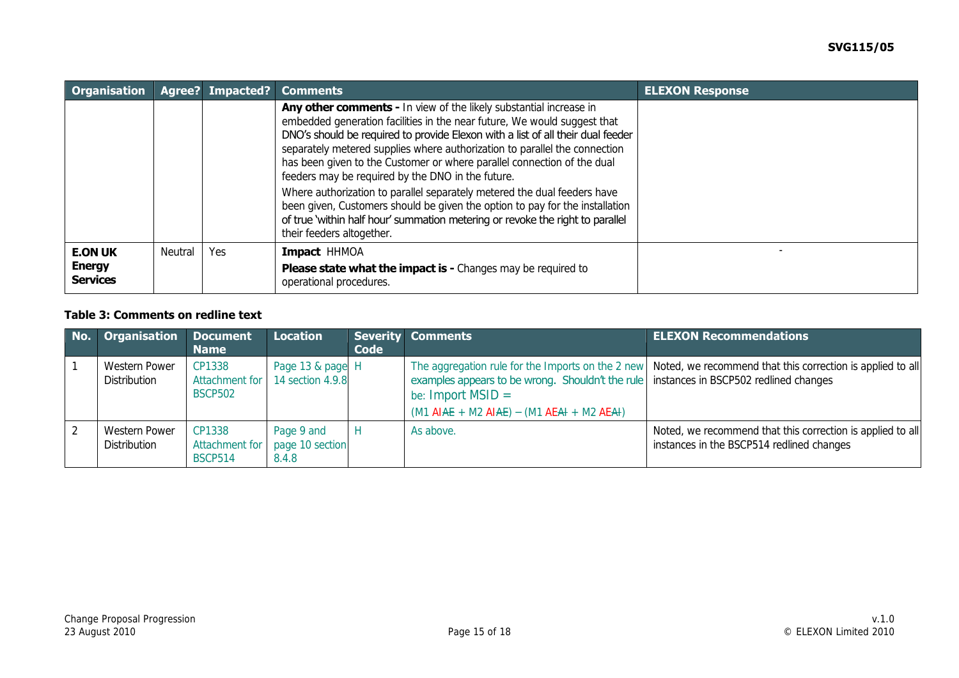| <b>Organisation</b>                                |                | Agree? Impacted? | <b>Comments</b>                                                                                                                                                                                                                                                                                                                                                                                                                                                                                                                                                                                                                                                                                                           | <b>ELEXON Response</b> |
|----------------------------------------------------|----------------|------------------|---------------------------------------------------------------------------------------------------------------------------------------------------------------------------------------------------------------------------------------------------------------------------------------------------------------------------------------------------------------------------------------------------------------------------------------------------------------------------------------------------------------------------------------------------------------------------------------------------------------------------------------------------------------------------------------------------------------------------|------------------------|
|                                                    |                |                  | Any other comments - In view of the likely substantial increase in<br>embedded generation facilities in the near future, We would suggest that<br>DNO's should be required to provide Elexon with a list of all their dual feeder<br>separately metered supplies where authorization to parallel the connection<br>has been given to the Customer or where parallel connection of the dual<br>feeders may be required by the DNO in the future.<br>Where authorization to parallel separately metered the dual feeders have<br>been given, Customers should be given the option to pay for the installation<br>of true 'within half hour' summation metering or revoke the right to parallel<br>their feeders altogether. |                        |
| <b>E.ON UK</b><br><b>Energy</b><br><b>Services</b> | <b>Neutral</b> | Yes              | Impact HHMOA<br><b>Please state what the impact is -</b> Changes may be required to<br>operational procedures.                                                                                                                                                                                                                                                                                                                                                                                                                                                                                                                                                                                                            |                        |

## **Table 3: Comments on redline text**

| No. | <b>Organisation</b>                  | <b>Document</b><br><b>Name</b> | <b>Location</b>                                       | Code | Severity Comments                                                                                                                                                                          | <b>ELEXON Recommendations</b>                                                                                |
|-----|--------------------------------------|--------------------------------|-------------------------------------------------------|------|--------------------------------------------------------------------------------------------------------------------------------------------------------------------------------------------|--------------------------------------------------------------------------------------------------------------|
|     | <b>Western Power</b><br>Distribution | CP1338<br><b>BSCP502</b>       | Page 13 & page H<br>Attachment for 14 section 4.9.8   |      | examples appears to be wrong. Shouldn't the rule instances in BSCP502 redlined changes<br>be: Import $MSID =$<br>$(M1 \text{ AIAE} + M2 \text{ AIAE}) - (M1 \text{ AEA} + M2 \text{ AEA})$ | The aggregation rule for the Imports on the 2 new Noted, we recommend that this correction is applied to all |
|     | Western Power<br>Distribution        | CP1338<br><b>BSCP514</b>       | Page 9 and<br>Attachment for page 10 section<br>8.4.8 |      | As above.                                                                                                                                                                                  | Noted, we recommend that this correction is applied to all<br>instances in the BSCP514 redlined changes      |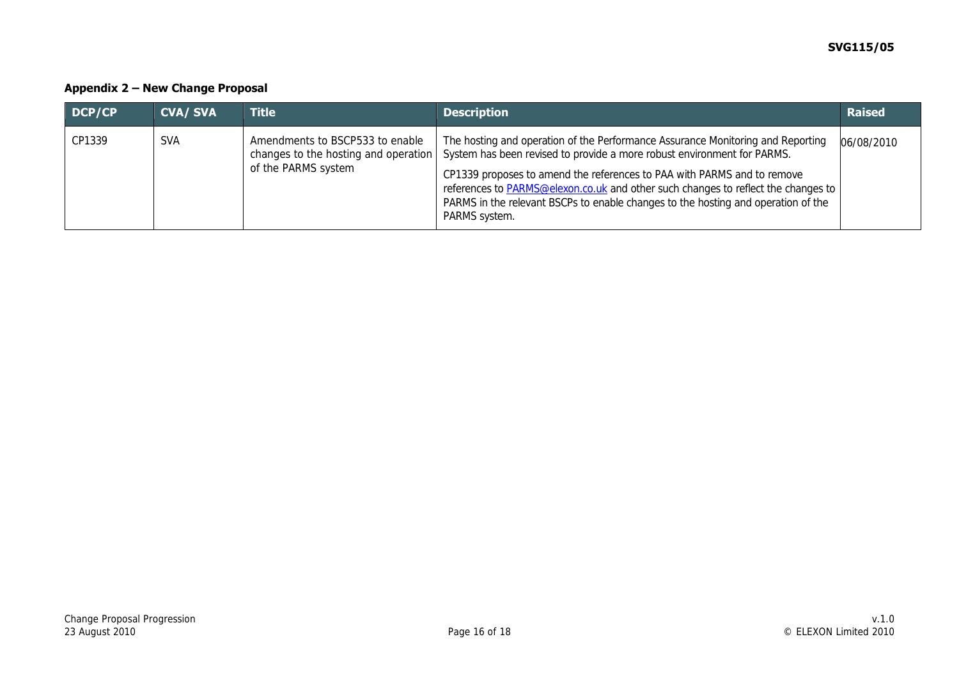## **Appendix 2 – New Change Proposal**

| DCP/CP | <b>CVA/SVA</b> | <b>Title</b>                                                                                   | <b>Description</b>                                                                                                                                                                                                                                                                                                                                                                                                                      | <b>Raised</b> |
|--------|----------------|------------------------------------------------------------------------------------------------|-----------------------------------------------------------------------------------------------------------------------------------------------------------------------------------------------------------------------------------------------------------------------------------------------------------------------------------------------------------------------------------------------------------------------------------------|---------------|
| CP1339 | <b>SVA</b>     | Amendments to BSCP533 to enable<br>changes to the hosting and operation<br>of the PARMS system | The hosting and operation of the Performance Assurance Monitoring and Reporting<br>System has been revised to provide a more robust environment for PARMS.<br>CP1339 proposes to amend the references to PAA with PARMS and to remove<br>references to <b>PARMS@elexon.co.uk</b> and other such changes to reflect the changes to<br>PARMS in the relevant BSCPs to enable changes to the hosting and operation of the<br>PARMS system. | 06/08/2010    |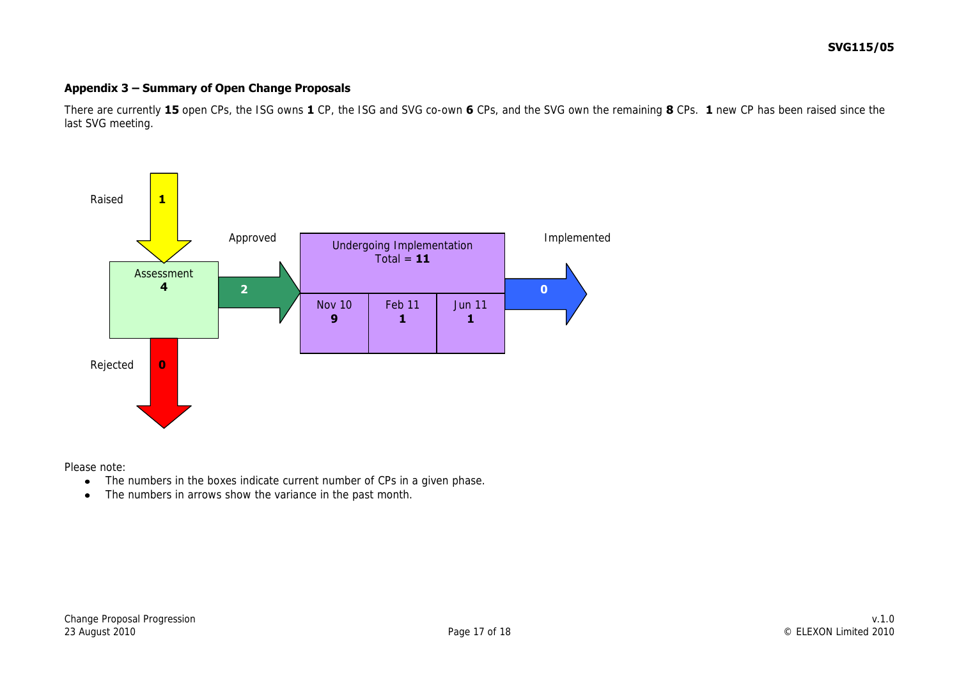#### **Appendix 3 – Summary of Open Change Proposals**

There are currently **15** open CPs, the ISG owns **1** CP, the ISG and SVG co-own **6** CPs, and the SVG own the remaining **8** CPs. **1** new CP has been raised since the last SVG meeting.



Please note:

- The numbers in the boxes indicate current number of CPs in a given phase.  $\bullet$
- The numbers in arrows show the variance in the past month.  $\bullet$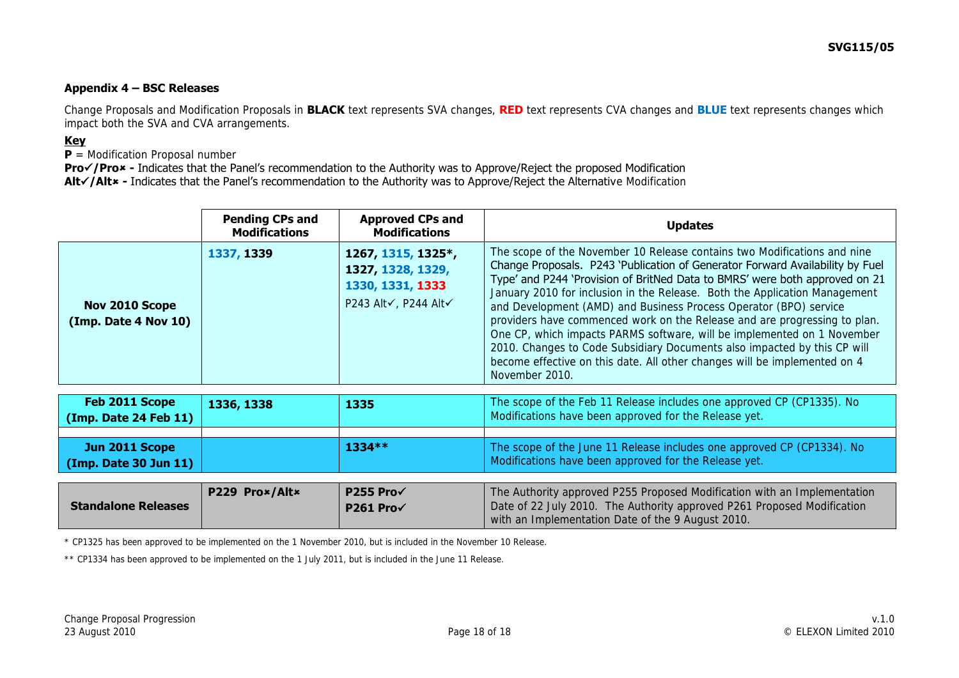#### **Appendix 4 – BSC Releases**

Change Proposals and Modification Proposals in **BLACK** text represents SVA changes, **RED** text represents CVA changes and **BLUE** text represents changes which impact both the SVA and CVA arrangements.

#### **Key**

**P** = Modification Proposal number

**Pro√/Pro<sup>\*</sup>** - Indicates that the Panel's recommendation to the Authority was to Approve/Reject the proposed Modification Alt<sup>/</sup>/Alt<sup>\*</sup> - Indicates that the Panel's recommendation to the Authority was to Approve/Reject the Alternative Modification

|                                         | <b>Pending CPs and</b><br><b>Modifications</b> | <b>Approved CPs and</b><br><b>Modifications</b>                                     | <b>Updates</b>                                                                                                                                                                                                                                                                                                                                                                                                                                                                                                                                                                                                                                                                                                                 |
|-----------------------------------------|------------------------------------------------|-------------------------------------------------------------------------------------|--------------------------------------------------------------------------------------------------------------------------------------------------------------------------------------------------------------------------------------------------------------------------------------------------------------------------------------------------------------------------------------------------------------------------------------------------------------------------------------------------------------------------------------------------------------------------------------------------------------------------------------------------------------------------------------------------------------------------------|
| Nov 2010 Scope<br>(Imp. Date 4 Nov 10)  | 1337, 1339                                     | 1267, 1315, 1325*,<br>1327, 1328, 1329,<br>1330, 1331, 1333<br>P243 Alt√, P244 Alt√ | The scope of the November 10 Release contains two Modifications and nine<br>Change Proposals. P243 'Publication of Generator Forward Availability by Fuel<br>Type' and P244 'Provision of BritNed Data to BMRS' were both approved on 21<br>January 2010 for inclusion in the Release. Both the Application Management<br>and Development (AMD) and Business Process Operator (BPO) service<br>providers have commenced work on the Release and are progressing to plan.<br>One CP, which impacts PARMS software, will be implemented on 1 November<br>2010. Changes to Code Subsidiary Documents also impacted by this CP will<br>become effective on this date. All other changes will be implemented on 4<br>November 2010. |
| Feb 2011 Scope<br>(Imp. Date 24 Feb 11) | 1336, 1338                                     | 1335                                                                                | The scope of the Feb 11 Release includes one approved CP (CP1335). No<br>Modifications have been approved for the Release yet.                                                                                                                                                                                                                                                                                                                                                                                                                                                                                                                                                                                                 |
| Jun 2011 Scope<br>(Imp. Date 30 Jun 11) |                                                | 1334 **                                                                             | The scope of the June 11 Release includes one approved CP (CP1334). No<br>Modifications have been approved for the Release yet.                                                                                                                                                                                                                                                                                                                                                                                                                                                                                                                                                                                                |
| <b>Standalone Releases</b>              | P229 Pro×/Alt×                                 | <b>P255 Pro√</b><br>P261 Pro√                                                       | The Authority approved P255 Proposed Modification with an Implementation<br>Date of 22 July 2010. The Authority approved P261 Proposed Modification<br>with an Implementation Date of the 9 August 2010.                                                                                                                                                                                                                                                                                                                                                                                                                                                                                                                       |

\* CP1325 has been approved to be implemented on the 1 November 2010, but is included in the November 10 Release.

\*\* CP1334 has been approved to be implemented on the 1 July 2011, but is included in the June 11 Release.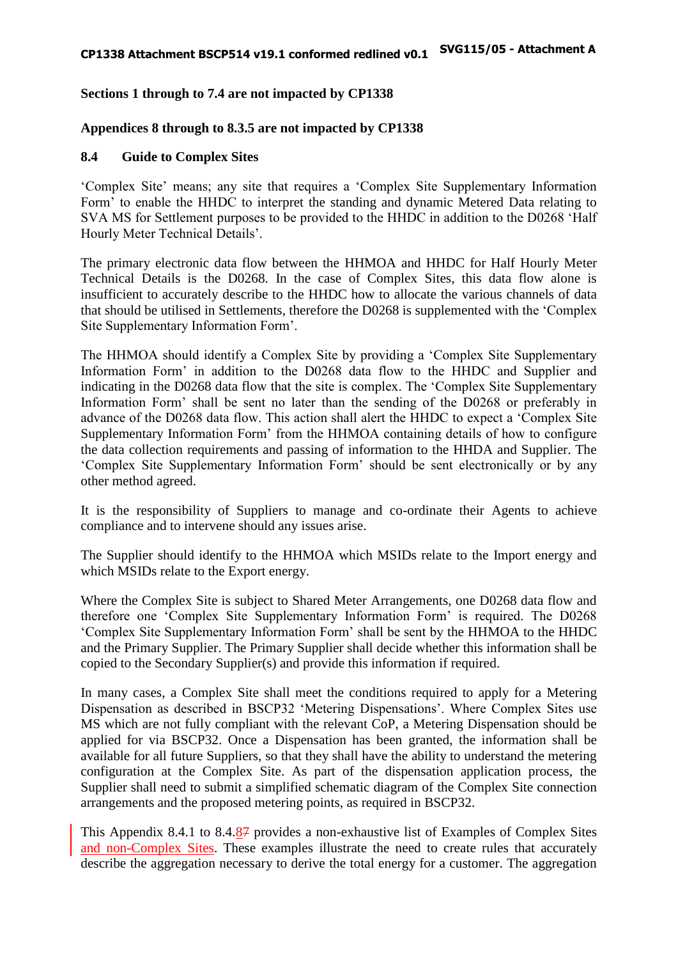## **Sections 1 through to 7.4 are not impacted by CP1338**

#### **Appendices 8 through to 8.3.5 are not impacted by CP1338**

#### **8.4 Guide to Complex Sites**

'Complex Site' means; any site that requires a 'Complex Site Supplementary Information Form' to enable the HHDC to interpret the standing and dynamic Metered Data relating to SVA MS for Settlement purposes to be provided to the HHDC in addition to the D0268 'Half Hourly Meter Technical Details'.

The primary electronic data flow between the HHMOA and HHDC for Half Hourly Meter Technical Details is the D0268. In the case of Complex Sites, this data flow alone is insufficient to accurately describe to the HHDC how to allocate the various channels of data that should be utilised in Settlements, therefore the D0268 is supplemented with the 'Complex Site Supplementary Information Form'.

The HHMOA should identify a Complex Site by providing a 'Complex Site Supplementary Information Form' in addition to the D0268 data flow to the HHDC and Supplier and indicating in the D0268 data flow that the site is complex. The 'Complex Site Supplementary Information Form' shall be sent no later than the sending of the D0268 or preferably in advance of the D0268 data flow. This action shall alert the HHDC to expect a 'Complex Site Supplementary Information Form' from the HHMOA containing details of how to configure the data collection requirements and passing of information to the HHDA and Supplier. The 'Complex Site Supplementary Information Form' should be sent electronically or by any other method agreed.

It is the responsibility of Suppliers to manage and co-ordinate their Agents to achieve compliance and to intervene should any issues arise.

The Supplier should identify to the HHMOA which MSIDs relate to the Import energy and which MSIDs relate to the Export energy.

Where the Complex Site is subject to Shared Meter Arrangements, one D0268 data flow and therefore one 'Complex Site Supplementary Information Form' is required. The D0268 'Complex Site Supplementary Information Form' shall be sent by the HHMOA to the HHDC and the Primary Supplier. The Primary Supplier shall decide whether this information shall be copied to the Secondary Supplier(s) and provide this information if required.

In many cases, a Complex Site shall meet the conditions required to apply for a Metering Dispensation as described in BSCP32 'Metering Dispensations'. Where Complex Sites use MS which are not fully compliant with the relevant CoP, a Metering Dispensation should be applied for via BSCP32. Once a Dispensation has been granted, the information shall be available for all future Suppliers, so that they shall have the ability to understand the metering configuration at the Complex Site. As part of the dispensation application process, the Supplier shall need to submit a simplified schematic diagram of the Complex Site connection arrangements and the proposed metering points, as required in BSCP32.

This Appendix 8.4.1 to 8.4.87 provides a non-exhaustive list of Examples of Complex Sites and non-Complex Sites. These examples illustrate the need to create rules that accurately describe the aggregation necessary to derive the total energy for a customer. The aggregation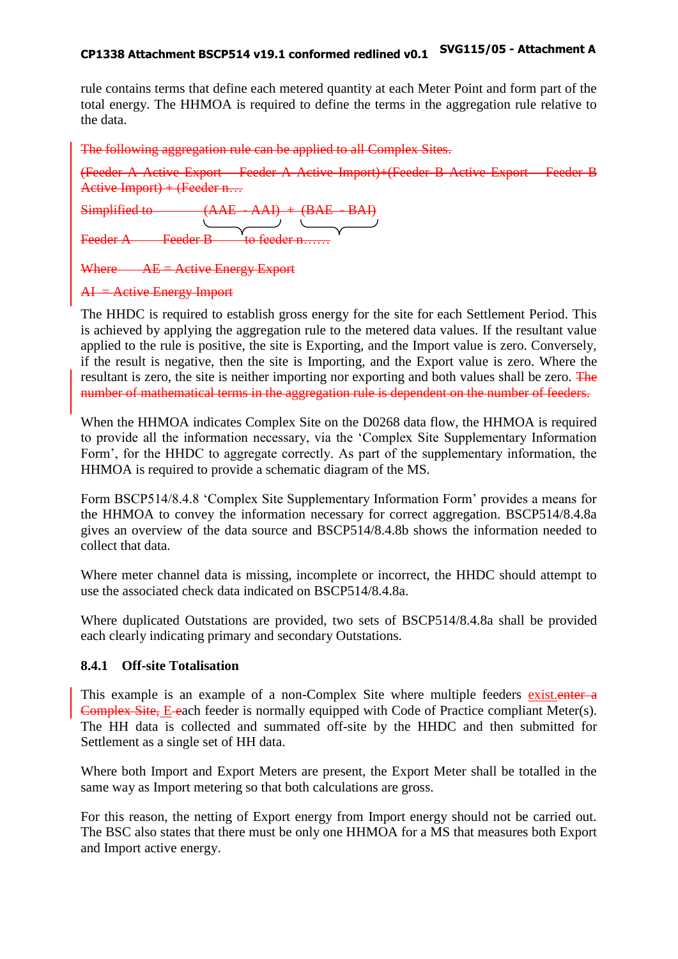## **CP1338 Attachment BSCP514 v19.1 conformed redlined v0.1 SVG115/05 - Attachment A**

rule contains terms that define each metered quantity at each Meter Point and form part of the total energy. The HHMOA is required to define the terms in the aggregation rule relative to the data.

The following aggregation rule can be applied to all Complex Sites.

(Feeder A Active Export – Feeder A Active Import)+(Feeder B Active Export – Feeder B Active Import) + (Feeder n…

Simplified to  $(AAE - AAI) + (BAE - BAI)$ Feeder B to feeder n…

Where  $AE =$  Active Energy Export

 $AI =$  Active Energy Import

The HHDC is required to establish gross energy for the site for each Settlement Period. This is achieved by applying the aggregation rule to the metered data values. If the resultant value applied to the rule is positive, the site is Exporting, and the Import value is zero. Conversely, if the result is negative, then the site is Importing, and the Export value is zero. Where the resultant is zero, the site is neither importing nor exporting and both values shall be zero. The number of mathematical terms in the aggregation rule is dependent on the number of feeders.

When the HHMOA indicates Complex Site on the D0268 data flow, the HHMOA is required to provide all the information necessary, via the 'Complex Site Supplementary Information Form', for the HHDC to aggregate correctly. As part of the supplementary information, the HHMOA is required to provide a schematic diagram of the MS.

Form BSCP514/8.4.8 'Complex Site Supplementary Information Form' provides a means for the HHMOA to convey the information necessary for correct aggregation. BSCP514/8.4.8a gives an overview of the data source and BSCP514/8.4.8b shows the information needed to collect that data.

Where meter channel data is missing, incomplete or incorrect, the HHDC should attempt to use the associated check data indicated on BSCP514/8.4.8a.

Where duplicated Outstations are provided, two sets of BSCP514/8.4.8a shall be provided each clearly indicating primary and secondary Outstations.

#### **8.4.1 Off-site Totalisation**

This example is an example of a non-Complex Site where multiple feeders existenter a Complex Site, E each feeder is normally equipped with Code of Practice compliant Meter(s). The HH data is collected and summated off-site by the HHDC and then submitted for Settlement as a single set of HH data.

Where both Import and Export Meters are present, the Export Meter shall be totalled in the same way as Import metering so that both calculations are gross.

For this reason, the netting of Export energy from Import energy should not be carried out. The BSC also states that there must be only one HHMOA for a MS that measures both Export and Import active energy.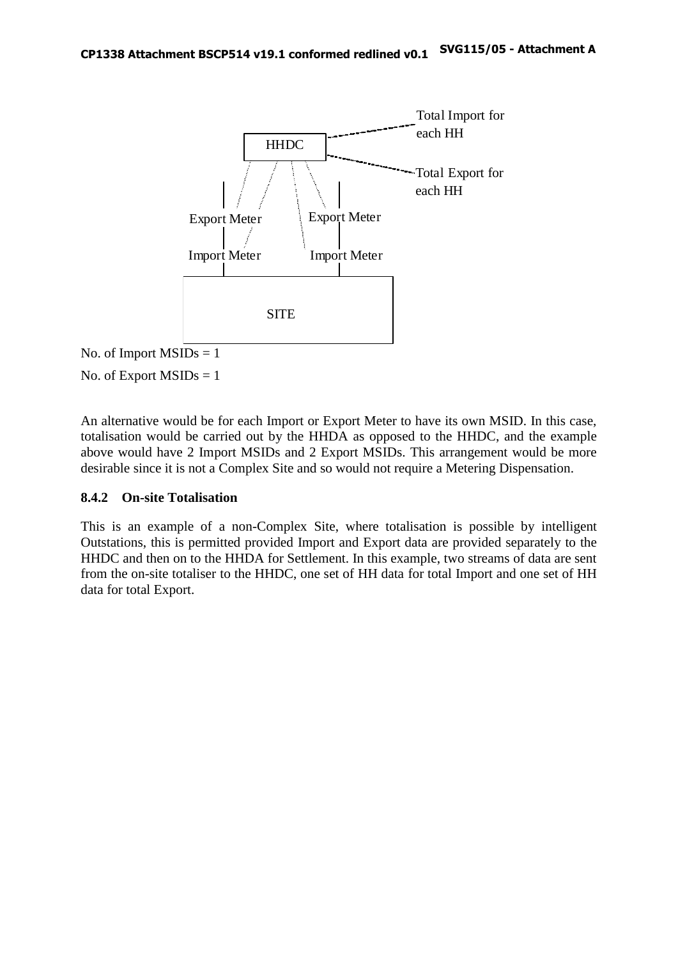

No. of Export  $MSIDs = 1$ 

An alternative would be for each Import or Export Meter to have its own MSID. In this case, totalisation would be carried out by the HHDA as opposed to the HHDC, and the example above would have 2 Import MSIDs and 2 Export MSIDs. This arrangement would be more desirable since it is not a Complex Site and so would not require a Metering Dispensation.

#### **8.4.2 On-site Totalisation**

This is an example of a non-Complex Site, where totalisation is possible by intelligent Outstations, this is permitted provided Import and Export data are provided separately to the HHDC and then on to the HHDA for Settlement. In this example, two streams of data are sent from the on-site totaliser to the HHDC, one set of HH data for total Import and one set of HH data for total Export.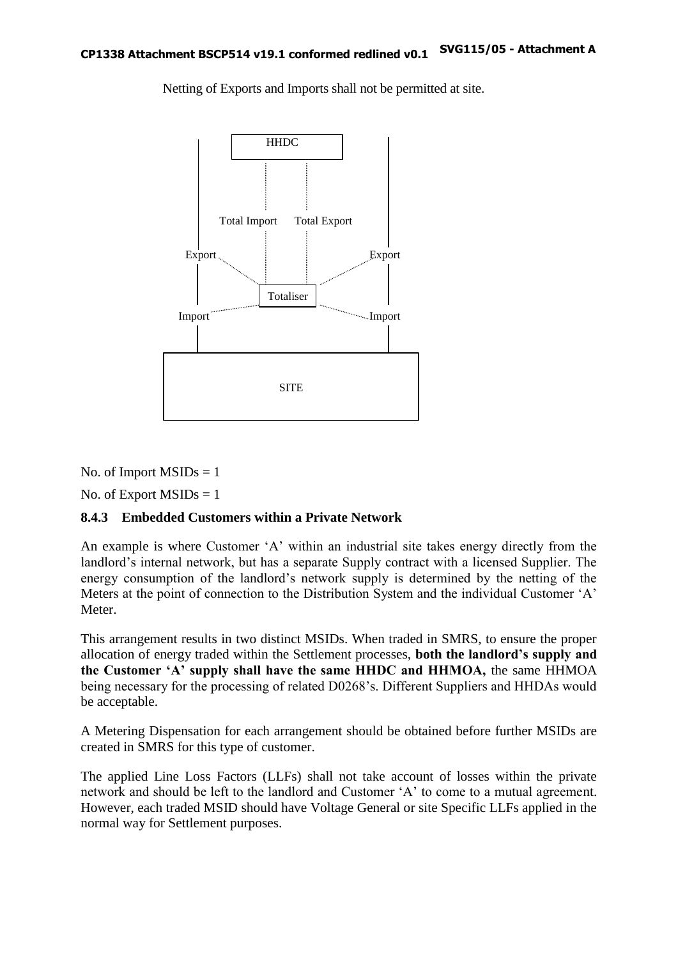

Netting of Exports and Imports shall not be permitted at site.

No. of Import  $MSIDs = 1$ 

No. of Export  $MSIDs = 1$ 

#### **8.4.3 Embedded Customers within a Private Network**

An example is where Customer 'A' within an industrial site takes energy directly from the landlord's internal network, but has a separate Supply contract with a licensed Supplier. The energy consumption of the landlord's network supply is determined by the netting of the Meters at the point of connection to the Distribution System and the individual Customer 'A' Meter.

This arrangement results in two distinct MSIDs. When traded in SMRS, to ensure the proper allocation of energy traded within the Settlement processes, **both the landlord's supply and the Customer 'A' supply shall have the same HHDC and HHMOA,** the same HHMOA being necessary for the processing of related D0268's. Different Suppliers and HHDAs would be acceptable.

A Metering Dispensation for each arrangement should be obtained before further MSIDs are created in SMRS for this type of customer.

The applied Line Loss Factors (LLFs) shall not take account of losses within the private network and should be left to the landlord and Customer 'A' to come to a mutual agreement. However, each traded MSID should have Voltage General or site Specific LLFs applied in the normal way for Settlement purposes.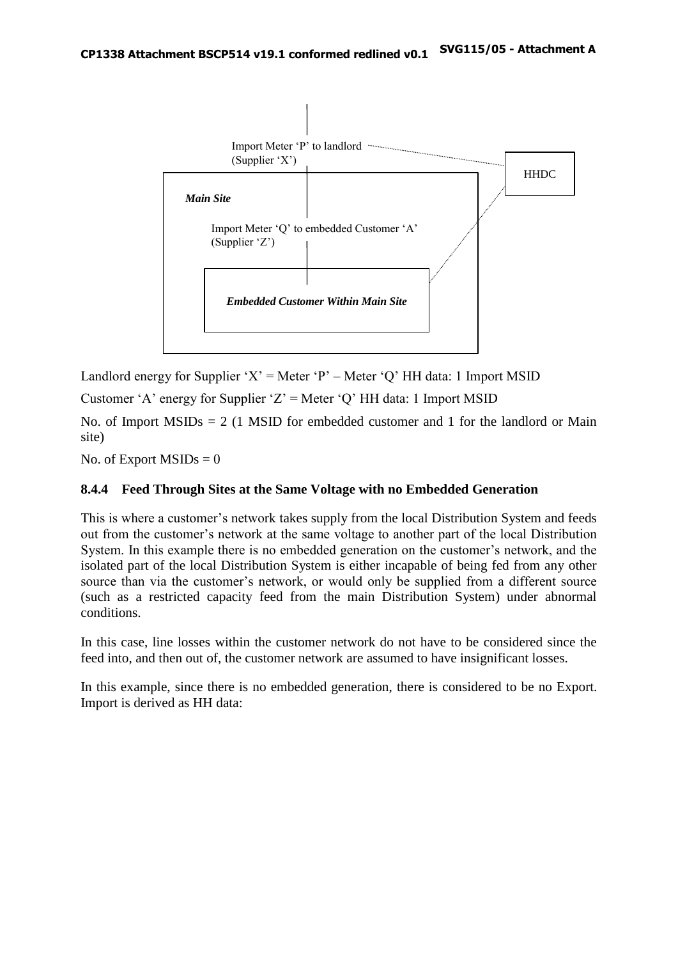

Landlord energy for Supplier 'X' = Meter 'P' – Meter 'Q' HH data: 1 Import MSID

Customer 'A' energy for Supplier 'Z' = Meter 'Q' HH data: 1 Import MSID

No. of Import  $MSIDs = 2$  (1 MSID for embedded customer and 1 for the landlord or Main site)

No. of Export  $MSIDs = 0$ 

#### **8.4.4 Feed Through Sites at the Same Voltage with no Embedded Generation**

This is where a customer's network takes supply from the local Distribution System and feeds out from the customer's network at the same voltage to another part of the local Distribution System. In this example there is no embedded generation on the customer's network, and the isolated part of the local Distribution System is either incapable of being fed from any other source than via the customer's network, or would only be supplied from a different source (such as a restricted capacity feed from the main Distribution System) under abnormal conditions.

In this case, line losses within the customer network do not have to be considered since the feed into, and then out of, the customer network are assumed to have insignificant losses.

In this example, since there is no embedded generation, there is considered to be no Export. Import is derived as HH data: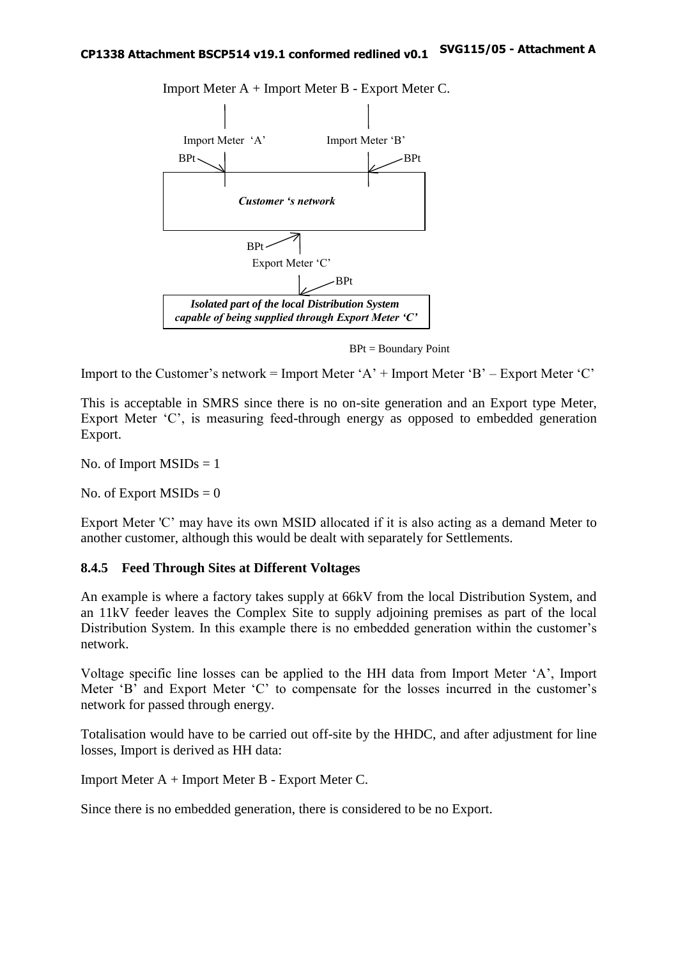

Import Meter A + Import Meter B - Export Meter C.

BPt = Boundary Point

Import to the Customer's network = Import Meter ' $A'$  + Import Meter 'B' – Export Meter 'C'

This is acceptable in SMRS since there is no on-site generation and an Export type Meter, Export Meter 'C', is measuring feed-through energy as opposed to embedded generation Export.

No. of Import  $MSIDs = 1$ 

No. of Export  $MSIDs = 0$ 

Export Meter 'C' may have its own MSID allocated if it is also acting as a demand Meter to another customer, although this would be dealt with separately for Settlements.

#### **8.4.5 Feed Through Sites at Different Voltages**

An example is where a factory takes supply at 66kV from the local Distribution System, and an 11kV feeder leaves the Complex Site to supply adjoining premises as part of the local Distribution System. In this example there is no embedded generation within the customer's network.

Voltage specific line losses can be applied to the HH data from Import Meter 'A', Import Meter 'B' and Export Meter 'C' to compensate for the losses incurred in the customer's network for passed through energy.

Totalisation would have to be carried out off-site by the HHDC, and after adjustment for line losses, Import is derived as HH data:

Import Meter A + Import Meter B - Export Meter C.

Since there is no embedded generation, there is considered to be no Export.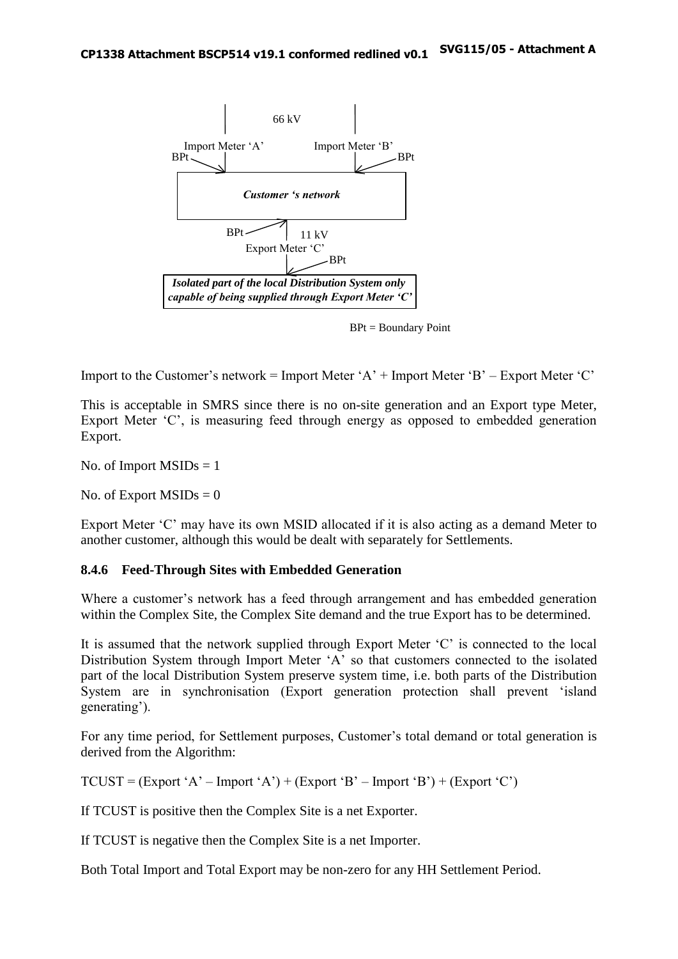

BPt = Boundary Point

Import to the Customer's network = Import Meter 'A' + Import Meter 'B' – Export Meter 'C'

This is acceptable in SMRS since there is no on-site generation and an Export type Meter, Export Meter 'C', is measuring feed through energy as opposed to embedded generation Export.

No. of Import  $MSIDs = 1$ 

No. of Export  $MSIDs = 0$ 

Export Meter 'C' may have its own MSID allocated if it is also acting as a demand Meter to another customer, although this would be dealt with separately for Settlements.

#### **8.4.6 Feed-Through Sites with Embedded Generation**

Where a customer's network has a feed through arrangement and has embedded generation within the Complex Site, the Complex Site demand and the true Export has to be determined.

It is assumed that the network supplied through Export Meter 'C' is connected to the local Distribution System through Import Meter 'A' so that customers connected to the isolated part of the local Distribution System preserve system time, i.e. both parts of the Distribution System are in synchronisation (Export generation protection shall prevent 'island generating').

For any time period, for Settlement purposes, Customer's total demand or total generation is derived from the Algorithm:

 $TCUST = (Expert 'A' - Import 'A') + (Expert 'B' - Import 'B') + (Expert 'C')$ 

If TCUST is positive then the Complex Site is a net Exporter.

If TCUST is negative then the Complex Site is a net Importer.

Both Total Import and Total Export may be non-zero for any HH Settlement Period.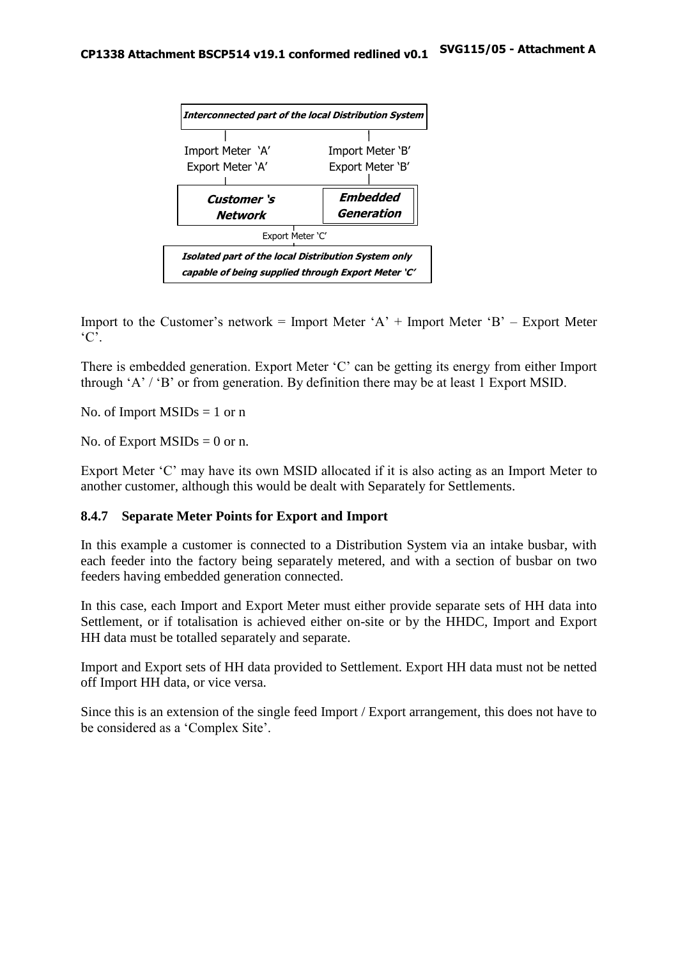

Import to the Customer's network = Import Meter  $A' +$ Import Meter  $B' -$  Export Meter  ${}^{\circ}C$ .

There is embedded generation. Export Meter 'C' can be getting its energy from either Import through 'A' / 'B' or from generation. By definition there may be at least 1 Export MSID.

No. of Import  $MSIDs = 1$  or n

No. of Export  $MSIDs = 0$  or n.

Export Meter 'C' may have its own MSID allocated if it is also acting as an Import Meter to another customer, although this would be dealt with Separately for Settlements.

#### **8.4.7 Separate Meter Points for Export and Import**

In this example a customer is connected to a Distribution System via an intake busbar, with each feeder into the factory being separately metered, and with a section of busbar on two feeders having embedded generation connected.

In this case, each Import and Export Meter must either provide separate sets of HH data into Settlement, or if totalisation is achieved either on-site or by the HHDC, Import and Export HH data must be totalled separately and separate.

Import and Export sets of HH data provided to Settlement. Export HH data must not be netted off Import HH data, or vice versa.

Since this is an extension of the single feed Import / Export arrangement, this does not have to be considered as a 'Complex Site'.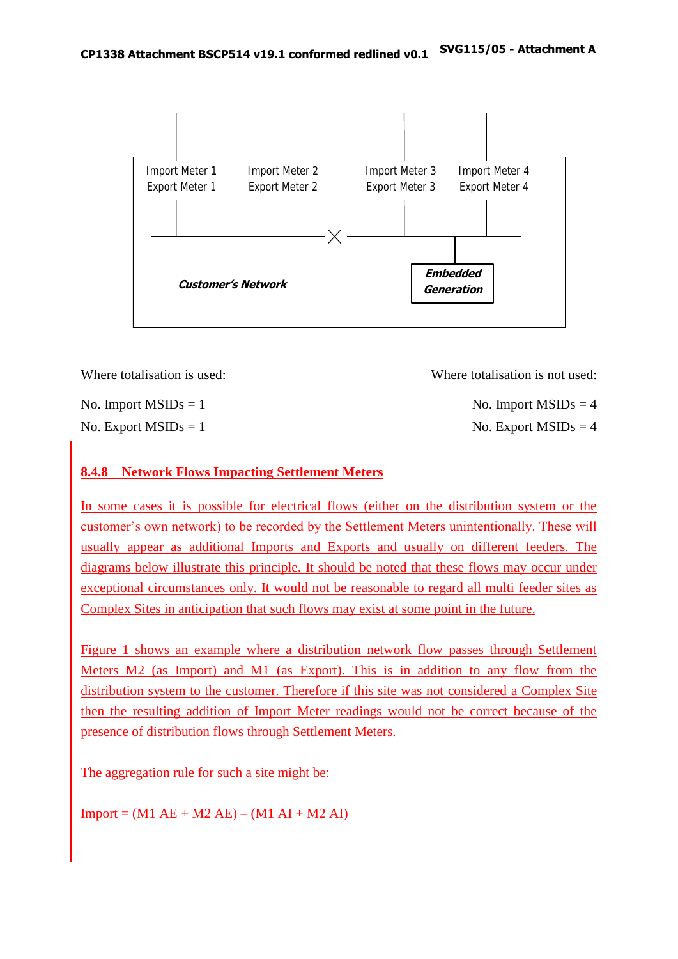

| Where totalisation is used: | Where totalisation is not used: |
|-----------------------------|---------------------------------|
| No. Import $MSIDs = 1$      | No. Import $MSIDs = 4$          |

No. Export  $MSIDs = 1$  No. Export  $MSIDs = 4$ 

## **8.4.8 Network Flows Impacting Settlement Meters**

In some cases it is possible for electrical flows (either on the distribution system or the customer's own network) to be recorded by the Settlement Meters unintentionally. These will usually appear as additional Imports and Exports and usually on different feeders. The diagrams below illustrate this principle. It should be noted that these flows may occur under exceptional circumstances only. It would not be reasonable to regard all multi feeder sites as Complex Sites in anticipation that such flows may exist at some point in the future.

Figure 1 shows an example where a distribution network flow passes through Settlement Meters M2 (as Import) and M1 (as Export). This is in addition to any flow from the distribution system to the customer. Therefore if this site was not considered a Complex Site then the resulting addition of Import Meter readings would not be correct because of the presence of distribution flows through Settlement Meters.

The aggregation rule for such a site might be:

 $Import = (M1 AE + M2 AE) - (M1 AI + M2 AI)$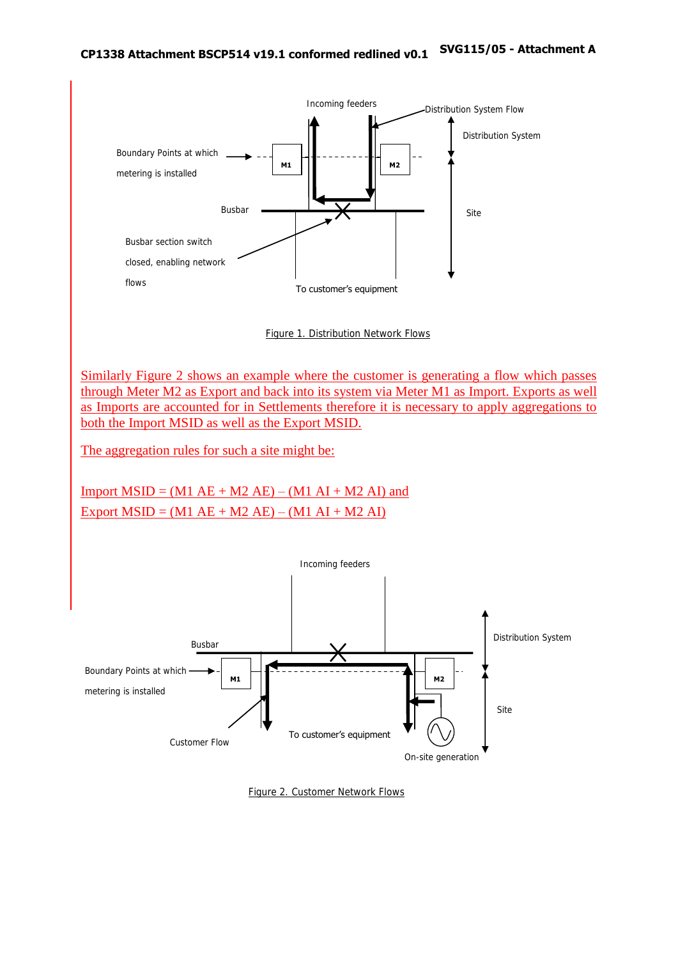

Figure 1. Distribution Network Flows

Similarly Figure 2 shows an example where the customer is generating a flow which passes through Meter M2 as Export and back into its system via Meter M1 as Import. Exports as well as Imports are accounted for in Settlements therefore it is necessary to apply aggregations to both the Import MSID as well as the Export MSID.

The aggregation rules for such a site might be:

Import  $MSID = (M1 AE + M2 AE) - (M1 AI + M2 AI)$  and Export  $MSID = (M1 AE + M2 AE) - (M1 AI + M2 AI)$ 



Figure 2. Customer Network Flows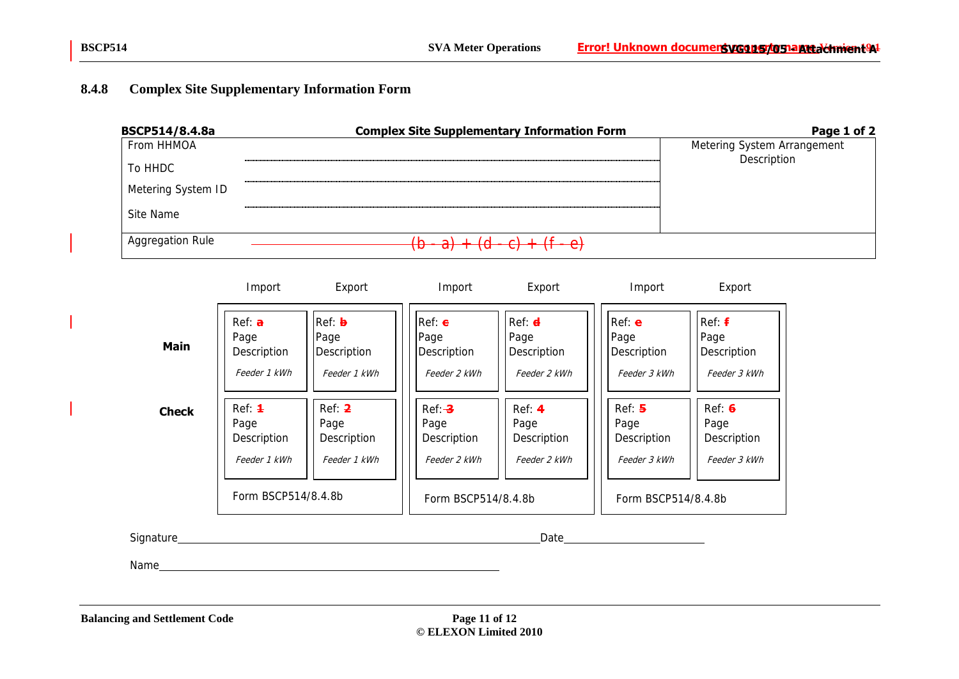## **8.4.8 Complex Site Supplementary Information Form**



|              | Import                                                                      | Export                                        | Import                                                                  | Export                                        | Import                                                               | Export                                               |
|--------------|-----------------------------------------------------------------------------|-----------------------------------------------|-------------------------------------------------------------------------|-----------------------------------------------|----------------------------------------------------------------------|------------------------------------------------------|
| <b>Main</b>  | Ref: <b>a</b><br>Page<br>Description<br>Feeder 1 kWh                        | Ref: b<br>Page<br>Description<br>Feeder 1 kWh | $Ref: \epsilon$<br>Page<br>Description<br>Feeder 2 kWh                  | Ref: d<br>Page<br>Description<br>Feeder 2 kWh | Ref: e<br>Page<br>Description<br>Feeder 3 kWh                        | Ref: <b>f</b><br>Page<br>Description<br>Feeder 3 kWh |
| <b>Check</b> | Ref: <b>1</b><br>Page<br>Description<br>Feeder 1 kWh<br>Form BSCP514/8.4.8b | Ref: 2<br>Page<br>Description<br>Feeder 1 kWh | $Ref: -3$<br>Page<br>Description<br>Feeder 2 kWh<br>Form BSCP514/8.4.8b | Ref: 4<br>Page<br>Description<br>Feeder 2 kWh | Ref: 5<br>Page<br>Description<br>Feeder 3 kWh<br>Form BSCP514/8.4.8b | Ref: 6<br>Page<br>Description<br>Feeder 3 kWh        |

Signature Date

Name and the set of the set of the set of the set of the set of the set of the set of the set of the set of the set of the set of the set of the set of the set of the set of the set of the set of the set of the set of the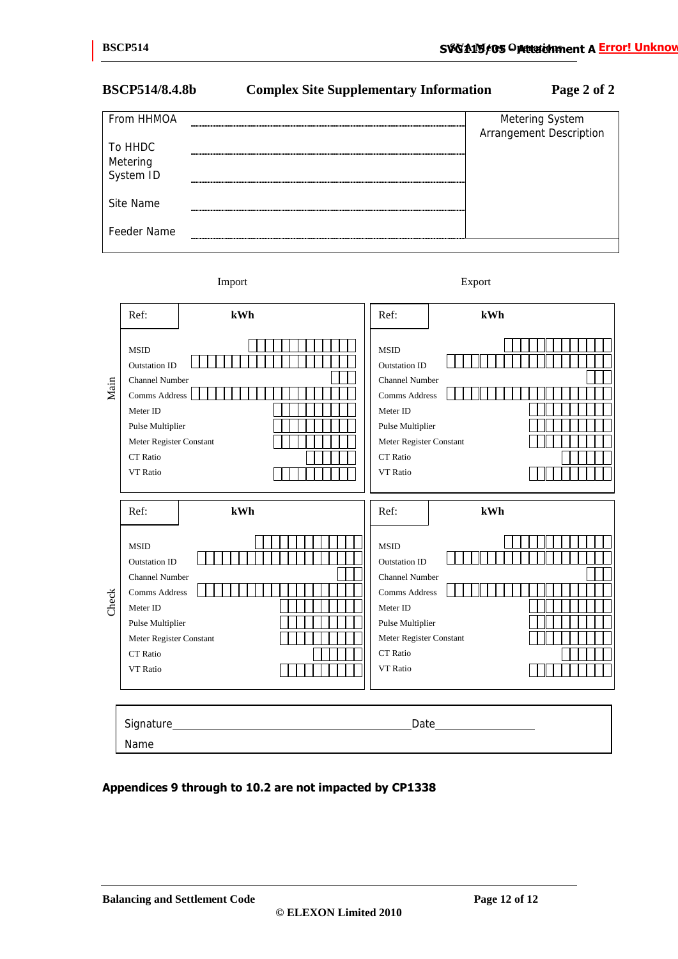## **BSCP514/8.4.8b Complex Site Supplementary Information Page 2 of 2**

| From HHMOA                       | Metering System<br>Arrangement Description |
|----------------------------------|--------------------------------------------|
| To HHDC<br>Metering<br>System ID |                                            |
|                                  |                                            |
| Site Name                        |                                            |
| Feeder Name                      |                                            |

Import Export

|       | Ref:                                                                                                                                                                                          | kWh | Ref:                                                                                                                                                                            | kWh |
|-------|-----------------------------------------------------------------------------------------------------------------------------------------------------------------------------------------------|-----|---------------------------------------------------------------------------------------------------------------------------------------------------------------------------------|-----|
| Main  | <b>MSID</b><br><b>Outstation ID</b><br><b>Channel Number</b><br>Comms Address<br>Meter ID<br>Pulse Multiplier<br>Meter Register Constant<br><b>CT</b> Ratio<br>VT Ratio                       |     | <b>MSID</b><br><b>Outstation ID</b><br><b>Channel Number</b><br><b>Comms Address</b><br>Meter ID<br>Pulse Multiplier<br>Meter Register Constant<br><b>CT</b> Ratio<br>VT Ratio  |     |
| Check | Ref:<br><b>MSID</b><br><b>Outstation ID</b><br><b>Channel Number</b><br><b>Comms Address</b><br>Meter ID<br>Pulse Multiplier<br>Meter Register Constant<br><b>CT</b> Ratio<br><b>VT</b> Ratio | kWh | Ref:<br><b>MSID</b><br><b>Outstation ID</b><br><b>Channel Number</b><br>Comms Address<br>Meter ID<br>Pulse Multiplier<br>Meter Register Constant<br>CT Ratio<br><b>VT</b> Ratio | kWh |
|       | Name                                                                                                                                                                                          |     |                                                                                                                                                                                 |     |

#### **Appendices 9 through to 10.2 are not impacted by CP1338**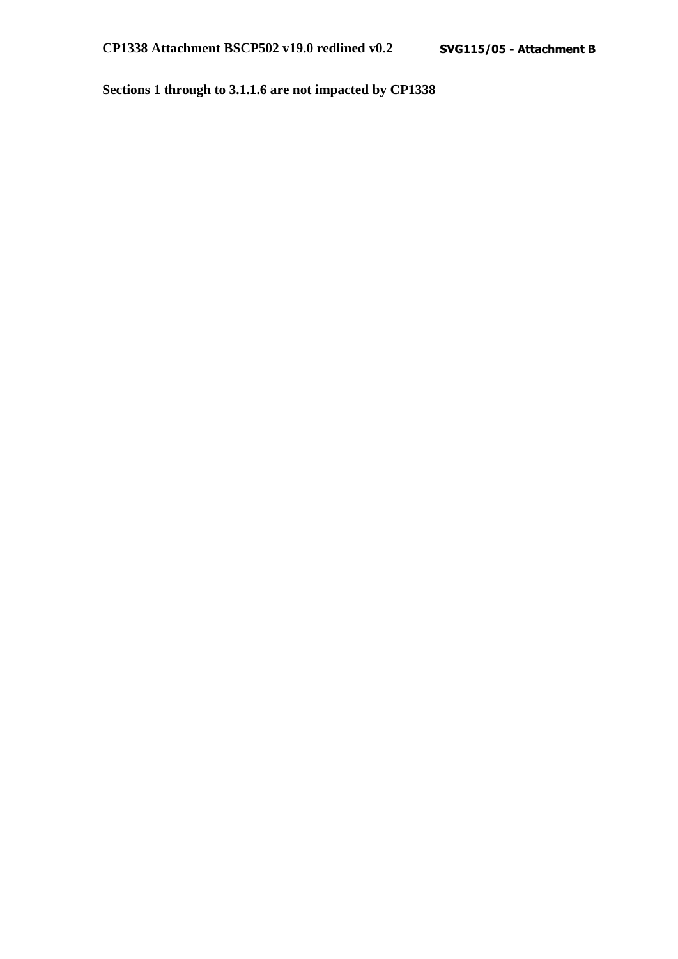**Sections 1 through to 3.1.1.6 are not impacted by CP1338**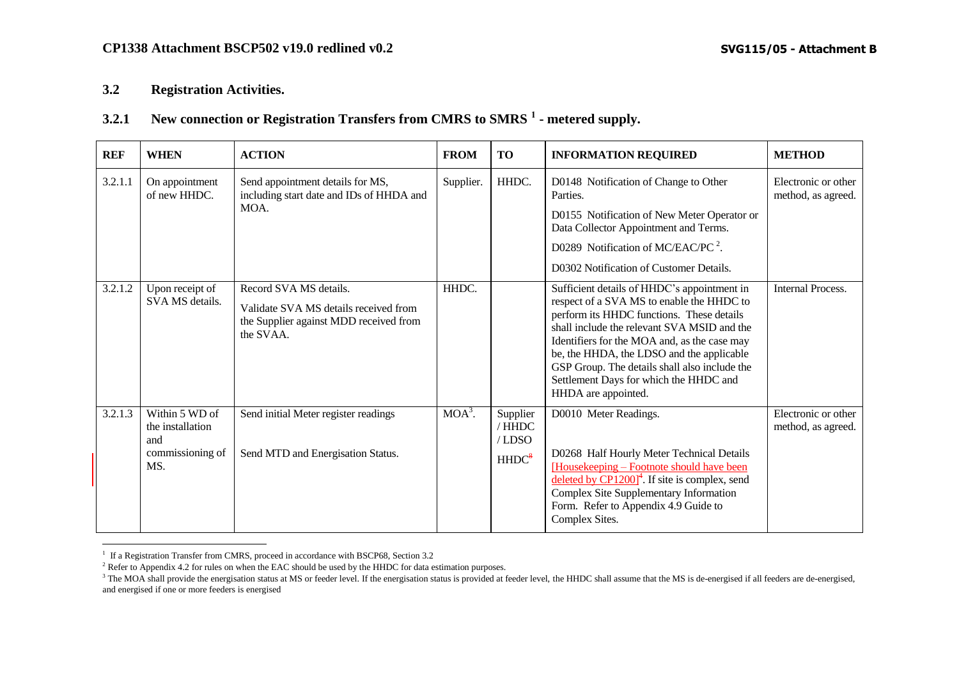#### **3.2 Registration Activities.**

## **3.2.1 New connection or Registration Transfers from CMRS to SMRS <sup>1</sup> - metered supply.**

| <b>REF</b> | <b>WHEN</b>                                                          | <b>ACTION</b>                                                                                                          | <b>FROM</b> | <b>TO</b>                                       | <b>INFORMATION REQUIRED</b>                                                                                                                                                                                                                                                                                                                                                                         | <b>METHOD</b>                             |
|------------|----------------------------------------------------------------------|------------------------------------------------------------------------------------------------------------------------|-------------|-------------------------------------------------|-----------------------------------------------------------------------------------------------------------------------------------------------------------------------------------------------------------------------------------------------------------------------------------------------------------------------------------------------------------------------------------------------------|-------------------------------------------|
| 3.2.1.1    | On appointment<br>of new HHDC.                                       | Send appointment details for MS,<br>including start date and IDs of HHDA and<br>MOA.                                   | Supplier.   | HHDC.                                           | D0148 Notification of Change to Other<br>Parties.<br>D0155 Notification of New Meter Operator or<br>Data Collector Appointment and Terms.                                                                                                                                                                                                                                                           | Electronic or other<br>method, as agreed. |
|            |                                                                      |                                                                                                                        |             |                                                 | D0289 Notification of MC/EAC/PC <sup>2</sup> .<br>D0302 Notification of Customer Details.                                                                                                                                                                                                                                                                                                           |                                           |
| 3.2.1.2    | Upon receipt of<br>SVA MS details.                                   | Record SVA MS details.<br>Validate SVA MS details received from<br>the Supplier against MDD received from<br>the SVAA. | HHDC.       |                                                 | Sufficient details of HHDC's appointment in<br>respect of a SVA MS to enable the HHDC to<br>perform its HHDC functions. These details<br>shall include the relevant SVA MSID and the<br>Identifiers for the MOA and, as the case may<br>be, the HHDA, the LDSO and the applicable<br>GSP Group. The details shall also include the<br>Settlement Days for which the HHDC and<br>HHDA are appointed. | <b>Internal Process.</b>                  |
| 3.2.1.3    | Within 5 WD of<br>the installation<br>and<br>commissioning of<br>MS. | Send initial Meter register readings<br>Send MTD and Energisation Status.                                              | $MOA^3$ .   | Supplier<br>/HHDC<br>/LDSO<br>HHDC <sup>8</sup> | D0010 Meter Readings.<br>D0268 Half Hourly Meter Technical Details<br>[Housekeeping – Footnote should have been<br>deleted by $CPI200$ <sup>4</sup> . If site is complex, send<br>Complex Site Supplementary Information<br>Form. Refer to Appendix 4.9 Guide to<br>Complex Sites.                                                                                                                  | Electronic or other<br>method, as agreed. |

<span id="page-31-0"></span> 1 If a Registration Transfer from CMRS, proceed in accordance with BSCP68, Section 3.2

<sup>&</sup>lt;sup>2</sup> Refer to Appendix 4.2 for rules on when the EAC should be used by the HHDC for data estimation purposes.

<sup>&</sup>lt;sup>3</sup> The MOA shall provide the energisation status at MS or feeder level. If the energisation status is provided at feeder level, the HHDC shall assume that the MS is de-energised if all feeders are de-energised, and energised if one or more feeders is energised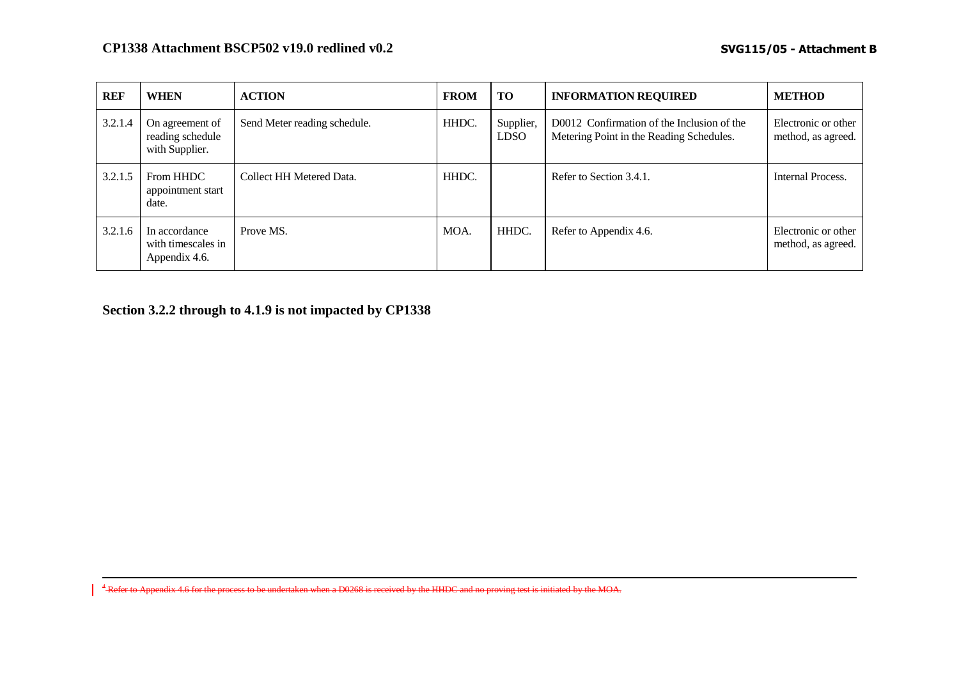| REF     | <b>WHEN</b>                                           | <b>ACTION</b>                | <b>FROM</b> | <b>TO</b>                | <b>INFORMATION REQUIRED</b>                                                            | <b>METHOD</b>                             |
|---------|-------------------------------------------------------|------------------------------|-------------|--------------------------|----------------------------------------------------------------------------------------|-------------------------------------------|
| 3.2.1.4 | On agreement of<br>reading schedule<br>with Supplier. | Send Meter reading schedule. | HHDC.       | Supplier,<br><b>LDSO</b> | D0012 Confirmation of the Inclusion of the<br>Metering Point in the Reading Schedules. | Electronic or other<br>method, as agreed. |
| 3.2.1.5 | From HHDC<br>appointment start<br>date.               | Collect HH Metered Data.     | HHDC.       |                          | Refer to Section 3.4.1.                                                                | Internal Process.                         |
| 3.2.1.6 | In accordance<br>with timescales in<br>Appendix 4.6.  | Prove MS.                    | MOA.        | HHDC.                    | Refer to Appendix 4.6.                                                                 | Electronic or other<br>method, as agreed. |

**Section 3.2.2 through to 4.1.9 is not impacted by CP1338**

 $\overline{a}$ 

<sup>4</sup> Refer to Appendix 4.6 for the process to be undertaken when a D0268 is received by the HHDC and no proving test is initiated by the MOA.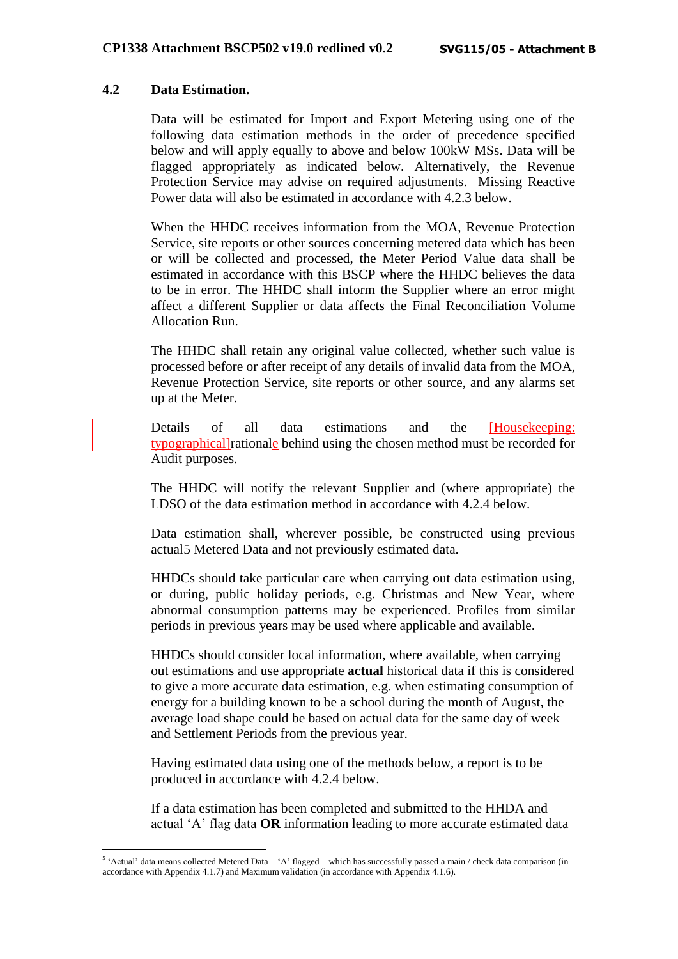#### **4.2 Data Estimation.**

1

Data will be estimated for Import and Export Metering using one of the following data estimation methods in the order of precedence specified below and will apply equally to above and below 100kW MSs. Data will be flagged appropriately as indicated below. Alternatively, the Revenue Protection Service may advise on required adjustments. Missing Reactive Power data will also be estimated in accordance with 4.2.3 below.

When the HHDC receives information from the MOA, Revenue Protection Service, site reports or other sources concerning metered data which has been or will be collected and processed, the Meter Period Value data shall be estimated in accordance with this BSCP where the HHDC believes the data to be in error. The HHDC shall inform the Supplier where an error might affect a different Supplier or data affects the Final Reconciliation Volume Allocation Run.

The HHDC shall retain any original value collected, whether such value is processed before or after receipt of any details of invalid data from the MOA, Revenue Protection Service, site reports or other source, and any alarms set up at the Meter.

Details of all data estimations and the [Housekeeping: typographical]rationale behind using the chosen method must be recorded for Audit purposes.

The HHDC will notify the relevant Supplier and (where appropriate) the LDSO of the data estimation method in accordance with 4.2.4 below.

Data estimation shall, wherever possible, be constructed using previous actual5 Metered Data and not previously estimated data.

HHDCs should take particular care when carrying out data estimation using, or during, public holiday periods, e.g. Christmas and New Year, where abnormal consumption patterns may be experienced. Profiles from similar periods in previous years may be used where applicable and available.

HHDCs should consider local information, where available, when carrying out estimations and use appropriate **actual** historical data if this is considered to give a more accurate data estimation, e.g. when estimating consumption of energy for a building known to be a school during the month of August, the average load shape could be based on actual data for the same day of week and Settlement Periods from the previous year.

Having estimated data using one of the methods below, a report is to be produced in accordance with 4.2.4 below.

If a data estimation has been completed and submitted to the HHDA and actual 'A' flag data **OR** information leading to more accurate estimated data

 $5$  'Actual' data means collected Metered Data  $-$  'A' flagged  $-$  which has successfully passed a main / check data comparison (in accordance with Appendix 4.1.7) and Maximum validation (in accordance with Appendix 4.1.6).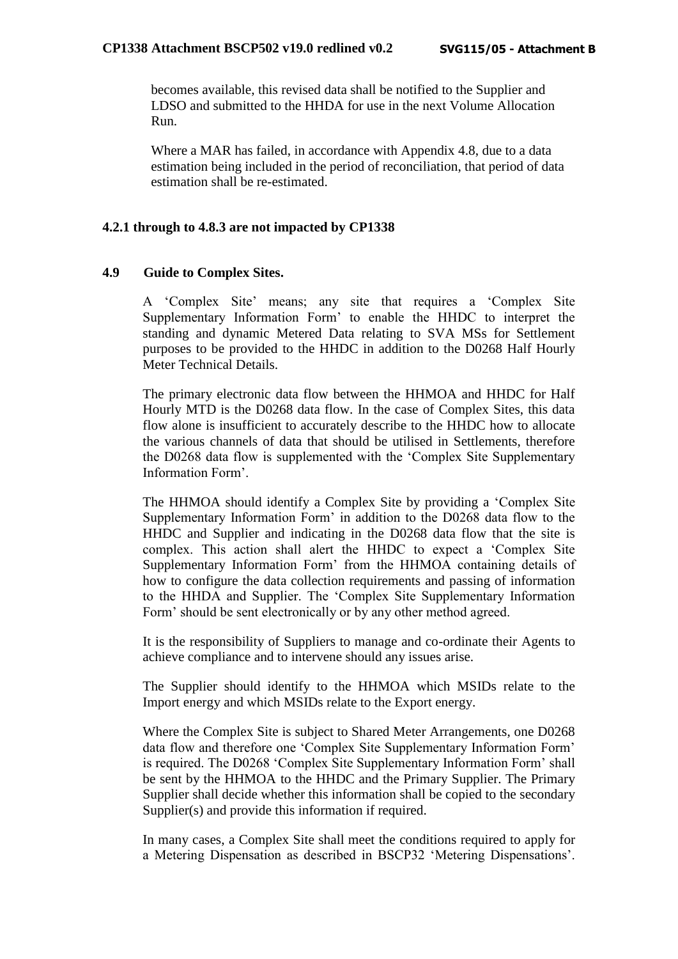becomes available, this revised data shall be notified to the Supplier and LDSO and submitted to the HHDA for use in the next Volume Allocation Run.

Where a MAR has failed, in accordance with Appendix 4.8, due to a data estimation being included in the period of reconciliation, that period of data estimation shall be re-estimated.

## **4.2.1 through to 4.8.3 are not impacted by CP1338**

#### **4.9 Guide to Complex Sites.**

A 'Complex Site' means; any site that requires a 'Complex Site Supplementary Information Form' to enable the HHDC to interpret the standing and dynamic Metered Data relating to SVA MSs for Settlement purposes to be provided to the HHDC in addition to the D0268 Half Hourly Meter Technical Details.

The primary electronic data flow between the HHMOA and HHDC for Half Hourly MTD is the D0268 data flow. In the case of Complex Sites, this data flow alone is insufficient to accurately describe to the HHDC how to allocate the various channels of data that should be utilised in Settlements, therefore the D0268 data flow is supplemented with the 'Complex Site Supplementary Information Form'.

The HHMOA should identify a Complex Site by providing a 'Complex Site Supplementary Information Form' in addition to the D0268 data flow to the HHDC and Supplier and indicating in the D0268 data flow that the site is complex. This action shall alert the HHDC to expect a 'Complex Site Supplementary Information Form' from the HHMOA containing details of how to configure the data collection requirements and passing of information to the HHDA and Supplier. The 'Complex Site Supplementary Information Form' should be sent electronically or by any other method agreed.

It is the responsibility of Suppliers to manage and co-ordinate their Agents to achieve compliance and to intervene should any issues arise.

The Supplier should identify to the HHMOA which MSIDs relate to the Import energy and which MSIDs relate to the Export energy.

Where the Complex Site is subject to Shared Meter Arrangements, one D0268 data flow and therefore one 'Complex Site Supplementary Information Form' is required. The D0268 'Complex Site Supplementary Information Form' shall be sent by the HHMOA to the HHDC and the Primary Supplier. The Primary Supplier shall decide whether this information shall be copied to the secondary Supplier(s) and provide this information if required.

In many cases, a Complex Site shall meet the conditions required to apply for a Metering Dispensation as described in BSCP32 'Metering Dispensations'.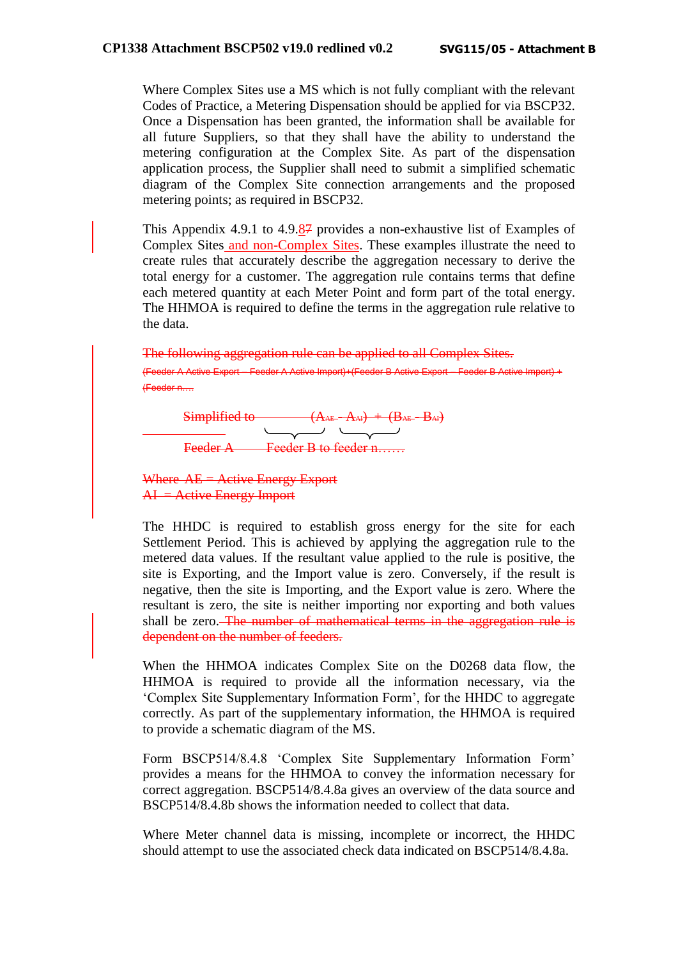Where Complex Sites use a MS which is not fully compliant with the relevant Codes of Practice, a Metering Dispensation should be applied for via BSCP32. Once a Dispensation has been granted, the information shall be available for all future Suppliers, so that they shall have the ability to understand the metering configuration at the Complex Site. As part of the dispensation application process, the Supplier shall need to submit a simplified schematic diagram of the Complex Site connection arrangements and the proposed metering points; as required in BSCP32.

This Appendix 4.9.1 to 4.9.87 provides a non-exhaustive list of Examples of Complex Sites and non-Complex Sites. These examples illustrate the need to create rules that accurately describe the aggregation necessary to derive the total energy for a customer. The aggregation rule contains terms that define each metered quantity at each Meter Point and form part of the total energy. The HHMOA is required to define the terms in the aggregation rule relative to the data.

The following aggregation rule can be applied to all Complex Sites. (Feeder A Active Export – Feeder A Active Import)+(Feeder B Active Export – Feeder B Active Import) + (Feeder n….



Where AE = Active Energy Export  $AI =$  Active Energy Import

The HHDC is required to establish gross energy for the site for each Settlement Period. This is achieved by applying the aggregation rule to the metered data values. If the resultant value applied to the rule is positive, the site is Exporting, and the Import value is zero. Conversely, if the result is negative, then the site is Importing, and the Export value is zero. Where the resultant is zero, the site is neither importing nor exporting and both values shall be zero. The number of mathematical terms in the aggregation rule is dependent on the number of feeders.

When the HHMOA indicates Complex Site on the D0268 data flow, the HHMOA is required to provide all the information necessary, via the 'Complex Site Supplementary Information Form', for the HHDC to aggregate correctly. As part of the supplementary information, the HHMOA is required to provide a schematic diagram of the MS.

Form BSCP514/8.4.8 'Complex Site Supplementary Information Form' provides a means for the HHMOA to convey the information necessary for correct aggregation. BSCP514/8.4.8a gives an overview of the data source and BSCP514/8.4.8b shows the information needed to collect that data.

Where Meter channel data is missing, incomplete or incorrect, the HHDC should attempt to use the associated check data indicated on BSCP514/8.4.8a.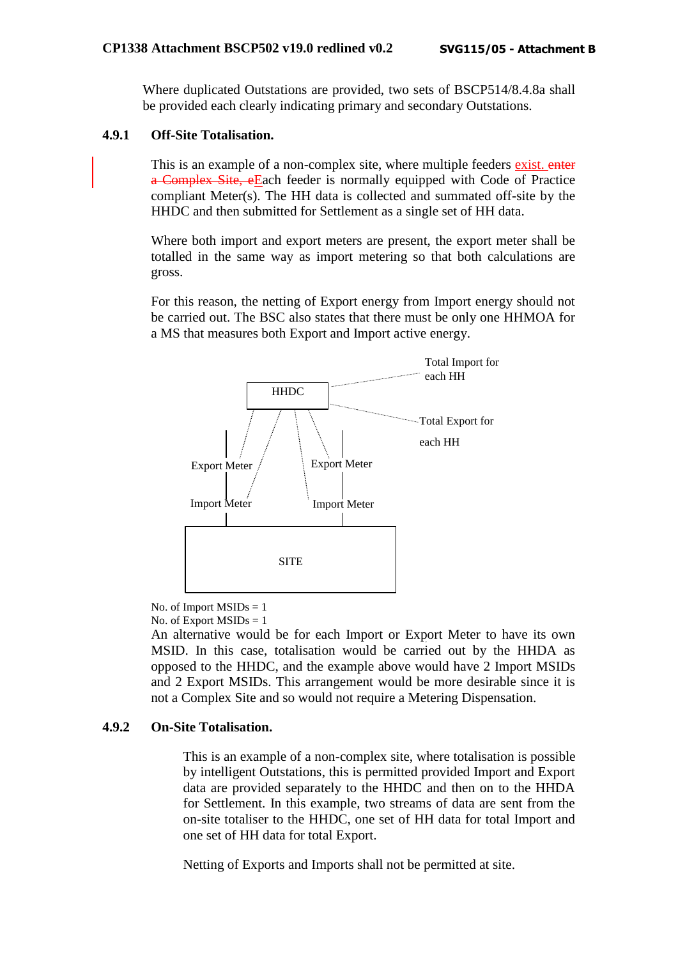Where duplicated Outstations are provided, two sets of BSCP514/8.4.8a shall be provided each clearly indicating primary and secondary Outstations.

## **4.9.1 Off-Site Totalisation.**

This is an example of a non-complex site, where multiple feeders exist. enter a Complex Site, eEach feeder is normally equipped with Code of Practice compliant Meter(s). The HH data is collected and summated off-site by the HHDC and then submitted for Settlement as a single set of HH data.

Where both import and export meters are present, the export meter shall be totalled in the same way as import metering so that both calculations are gross.

For this reason, the netting of Export energy from Import energy should not be carried out. The BSC also states that there must be only one HHMOA for a MS that measures both Export and Import active energy.



No. of Import  $MSIDs = 1$ No. of Export  $MSIDs = 1$ 

An alternative would be for each Import or Export Meter to have its own MSID. In this case, totalisation would be carried out by the HHDA as opposed to the HHDC, and the example above would have 2 Import MSIDs and 2 Export MSIDs. This arrangement would be more desirable since it is not a Complex Site and so would not require a Metering Dispensation.

## **4.9.2 On-Site Totalisation.**

This is an example of a non-complex site, where totalisation is possible by intelligent Outstations, this is permitted provided Import and Export data are provided separately to the HHDC and then on to the HHDA for Settlement. In this example, two streams of data are sent from the on-site totaliser to the HHDC, one set of HH data for total Import and one set of HH data for total Export.

Netting of Exports and Imports shall not be permitted at site.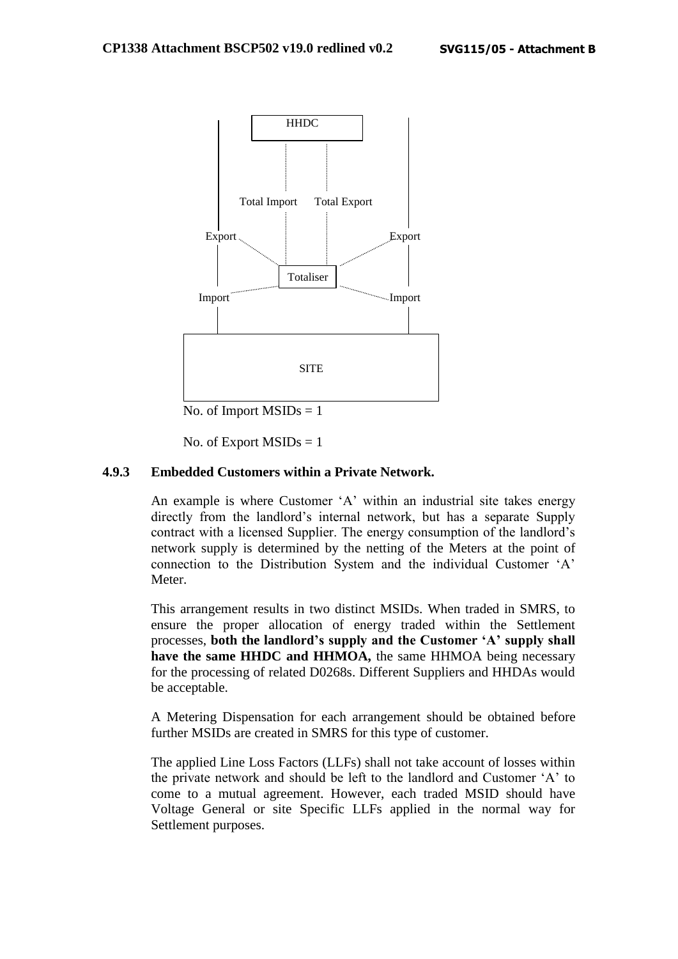

No. of Import  $MSIDs = 1$ 

No. of Export  $MSIDs = 1$ 

#### **4.9.3 Embedded Customers within a Private Network.**

An example is where Customer 'A' within an industrial site takes energy directly from the landlord's internal network, but has a separate Supply contract with a licensed Supplier. The energy consumption of the landlord's network supply is determined by the netting of the Meters at the point of connection to the Distribution System and the individual Customer 'A' Meter.

This arrangement results in two distinct MSIDs. When traded in SMRS, to ensure the proper allocation of energy traded within the Settlement processes, **both the landlord's supply and the Customer 'A' supply shall**  have the same HHDC and HHMOA, the same HHMOA being necessary for the processing of related D0268s. Different Suppliers and HHDAs would be acceptable.

A Metering Dispensation for each arrangement should be obtained before further MSIDs are created in SMRS for this type of customer.

The applied Line Loss Factors (LLFs) shall not take account of losses within the private network and should be left to the landlord and Customer 'A' to come to a mutual agreement. However, each traded MSID should have Voltage General or site Specific LLFs applied in the normal way for Settlement purposes.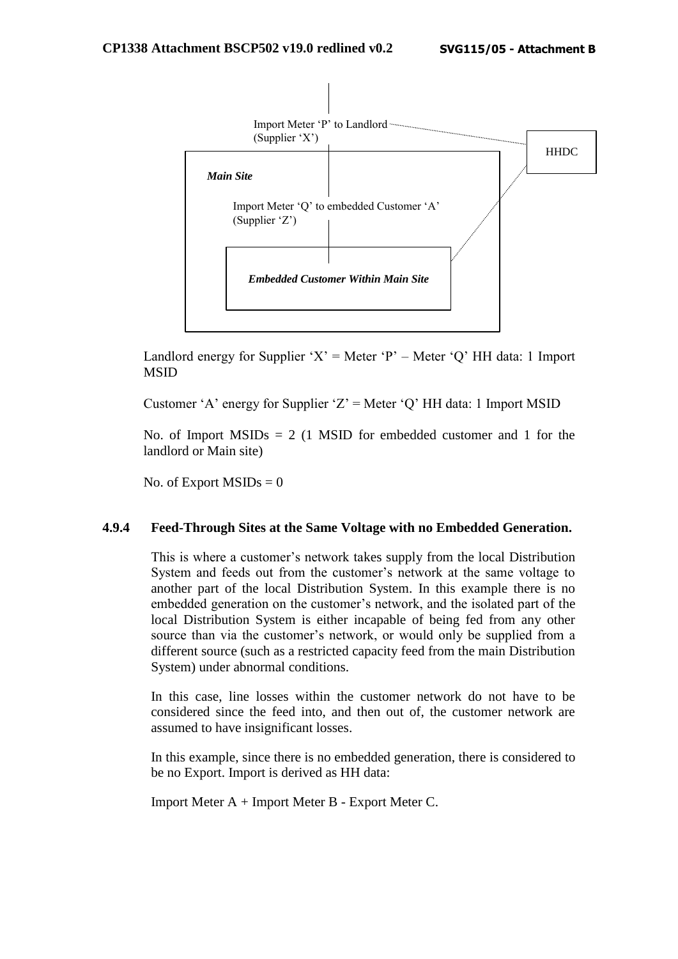

Landlord energy for Supplier 'X' = Meter 'P' – Meter 'O' HH data: 1 Import MSID

Customer 'A' energy for Supplier 'Z' = Meter 'Q' HH data: 1 Import MSID

No. of Import  $MSIDs = 2$  (1 MSID for embedded customer and 1 for the landlord or Main site)

No. of Export  $MSIDs = 0$ 

#### **4.9.4 Feed-Through Sites at the Same Voltage with no Embedded Generation.**

This is where a customer's network takes supply from the local Distribution System and feeds out from the customer's network at the same voltage to another part of the local Distribution System. In this example there is no embedded generation on the customer's network, and the isolated part of the local Distribution System is either incapable of being fed from any other source than via the customer's network, or would only be supplied from a different source (such as a restricted capacity feed from the main Distribution System) under abnormal conditions.

In this case, line losses within the customer network do not have to be considered since the feed into, and then out of, the customer network are assumed to have insignificant losses.

In this example, since there is no embedded generation, there is considered to be no Export. Import is derived as HH data:

Import Meter A + Import Meter B - Export Meter C.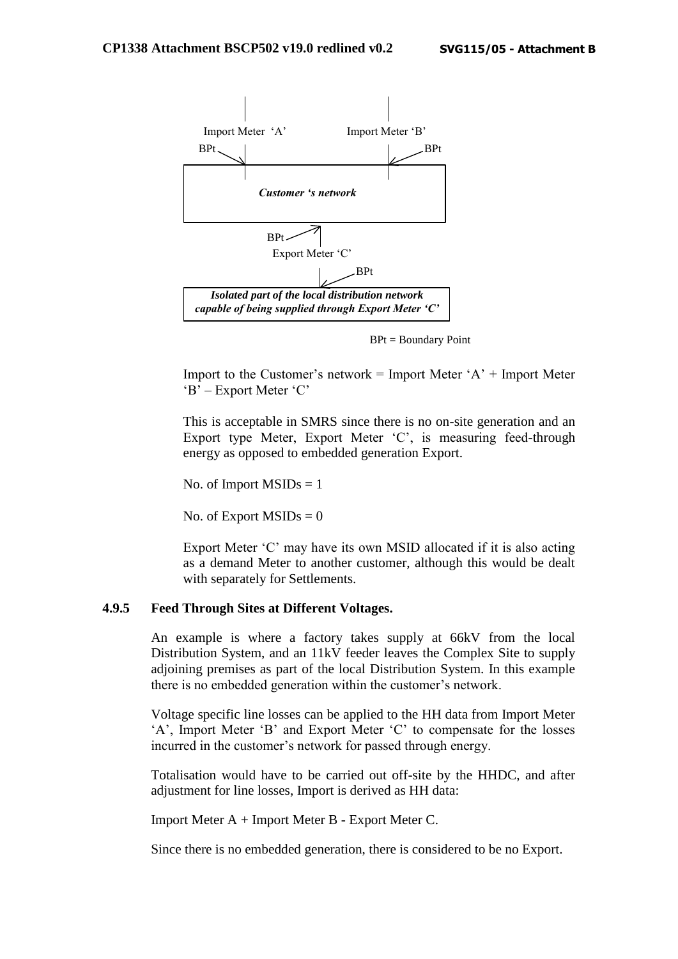

BPt = Boundary Point

Import to the Customer's network = Import Meter  $A'$  + Import Meter 'B' – Export Meter 'C'

This is acceptable in SMRS since there is no on-site generation and an Export type Meter, Export Meter 'C', is measuring feed-through energy as opposed to embedded generation Export.

No. of Import  $MSIDs = 1$ 

No. of Export  $MSIDs = 0$ 

Export Meter 'C' may have its own MSID allocated if it is also acting as a demand Meter to another customer, although this would be dealt with separately for Settlements.

#### **4.9.5 Feed Through Sites at Different Voltages.**

An example is where a factory takes supply at 66kV from the local Distribution System, and an 11kV feeder leaves the Complex Site to supply adjoining premises as part of the local Distribution System. In this example there is no embedded generation within the customer's network.

Voltage specific line losses can be applied to the HH data from Import Meter 'A', Import Meter 'B' and Export Meter 'C' to compensate for the losses incurred in the customer's network for passed through energy.

Totalisation would have to be carried out off-site by the HHDC, and after adjustment for line losses, Import is derived as HH data:

Import Meter A + Import Meter B - Export Meter C.

Since there is no embedded generation, there is considered to be no Export.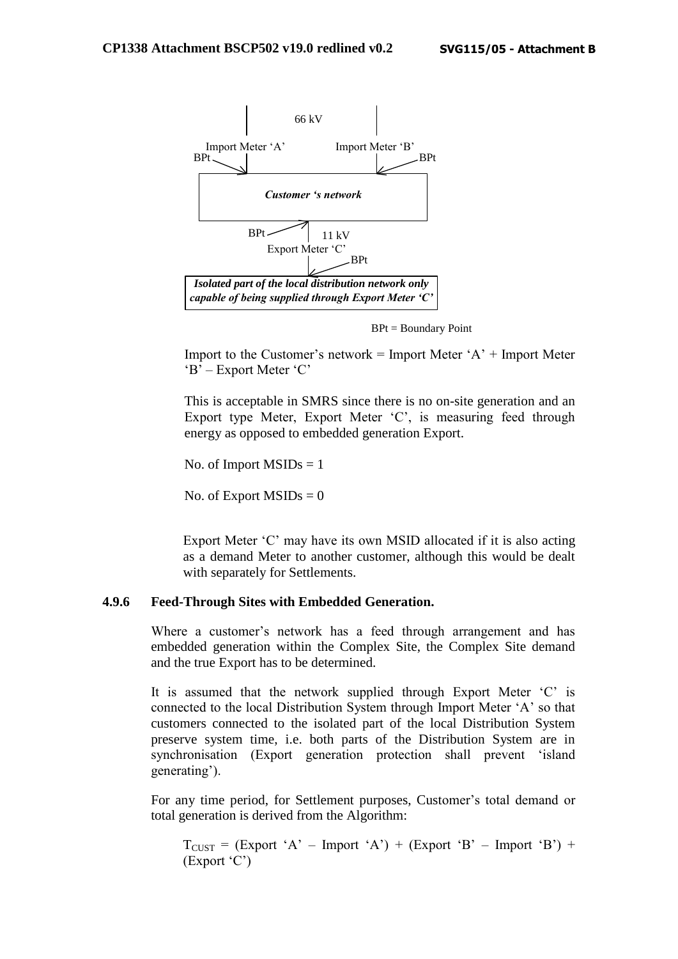

BPt = Boundary Point

Import to the Customer's network = Import Meter  $A'$  + Import Meter 'B' – Export Meter 'C'

This is acceptable in SMRS since there is no on-site generation and an Export type Meter, Export Meter 'C', is measuring feed through energy as opposed to embedded generation Export.

No. of Import  $MSIDs = 1$ 

No. of Export  $MSIDs = 0$ 

Export Meter 'C' may have its own MSID allocated if it is also acting as a demand Meter to another customer, although this would be dealt with separately for Settlements.

#### **4.9.6 Feed-Through Sites with Embedded Generation.**

Where a customer's network has a feed through arrangement and has embedded generation within the Complex Site, the Complex Site demand and the true Export has to be determined.

It is assumed that the network supplied through Export Meter 'C' is connected to the local Distribution System through Import Meter 'A' so that customers connected to the isolated part of the local Distribution System preserve system time, i.e. both parts of the Distribution System are in synchronisation (Export generation protection shall prevent 'island generating').

For any time period, for Settlement purposes, Customer's total demand or total generation is derived from the Algorithm:

 $T<sub>CUST</sub> = (Expert 'A' - Import 'A') + (Expert 'B' - Import 'B') +$ (Export 'C')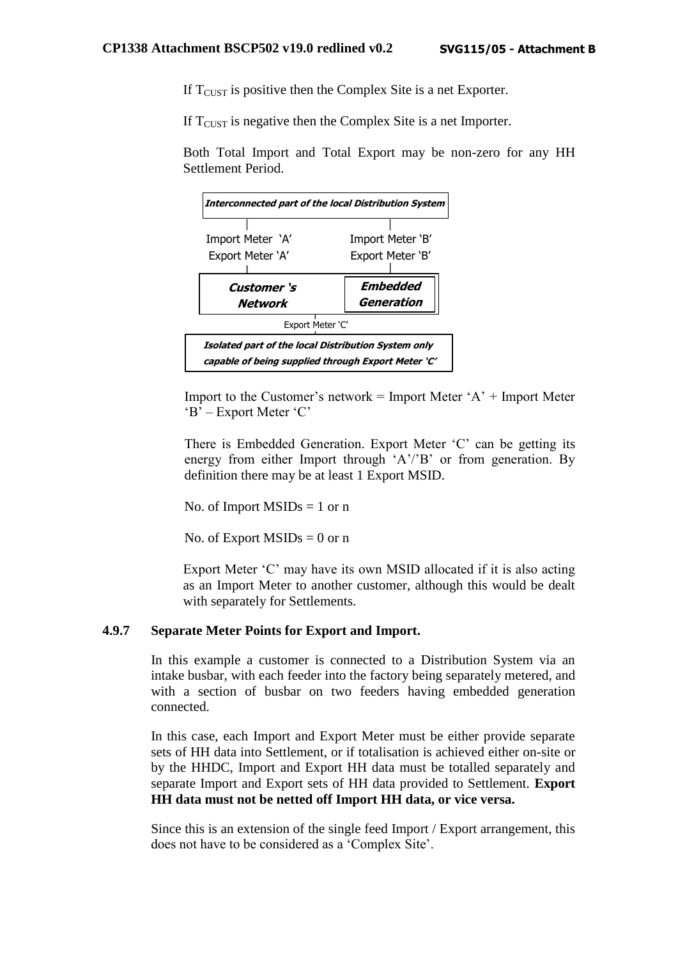If  $T<sub>ClST</sub>$  is positive then the Complex Site is a net Exporter.

If  $T<sub>CIIST</sub>$  is negative then the Complex Site is a net Importer.

Both Total Import and Total Export may be non-zero for any HH Settlement Period.



Import to the Customer's network  $=$  Import Meter 'A'  $+$  Import Meter 'B' – Export Meter 'C'

There is Embedded Generation. Export Meter 'C' can be getting its energy from either Import through 'A'/'B' or from generation. By definition there may be at least 1 Export MSID.

No. of Import  $MSIDs = 1$  or n

No. of Export  $MSIDs = 0$  or n

Export Meter 'C' may have its own MSID allocated if it is also acting as an Import Meter to another customer, although this would be dealt with separately for Settlements.

#### **4.9.7 Separate Meter Points for Export and Import.**

In this example a customer is connected to a Distribution System via an intake busbar, with each feeder into the factory being separately metered, and with a section of busbar on two feeders having embedded generation connected.

In this case, each Import and Export Meter must be either provide separate sets of HH data into Settlement, or if totalisation is achieved either on-site or by the HHDC, Import and Export HH data must be totalled separately and separate Import and Export sets of HH data provided to Settlement. **Export HH data must not be netted off Import HH data, or vice versa.**

Since this is an extension of the single feed Import / Export arrangement, this does not have to be considered as a 'Complex Site'.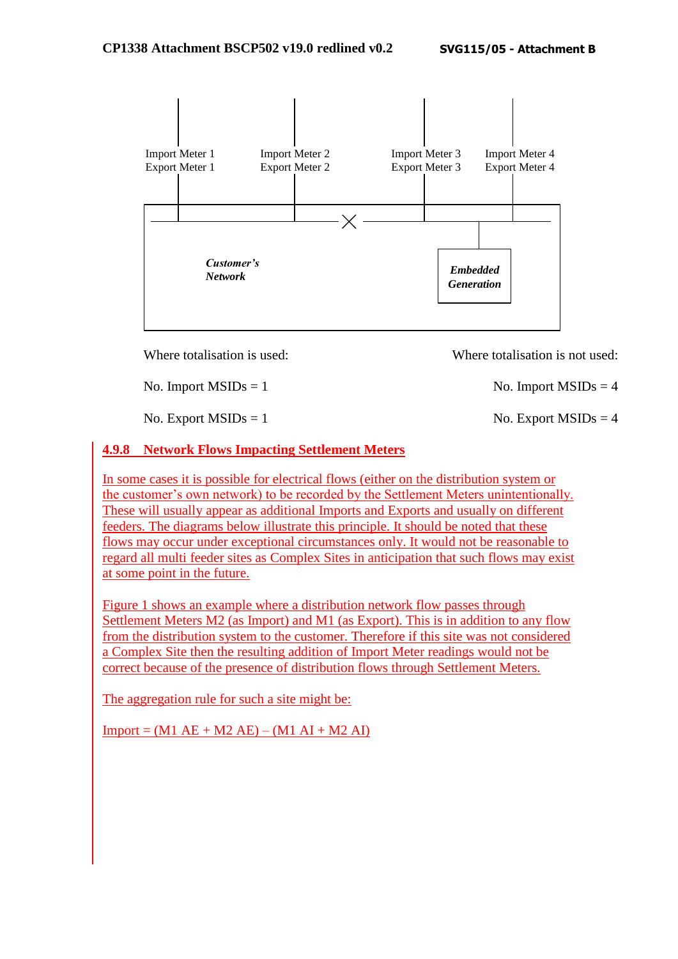

Where totalisation is used: Where totalisation is not used:

No. Import  $MSIDs = 1$  No. Import  $MSIDs = 4$ 

No. Export  $MSIDs = 1$  No. Export  $MSIDs = 4$ 

## **4.9.8 Network Flows Impacting Settlement Meters**

In some cases it is possible for electrical flows (either on the distribution system or the customer's own network) to be recorded by the Settlement Meters unintentionally. These will usually appear as additional Imports and Exports and usually on different feeders. The diagrams below illustrate this principle. It should be noted that these flows may occur under exceptional circumstances only. It would not be reasonable to regard all multi feeder sites as Complex Sites in anticipation that such flows may exist at some point in the future.

Figure 1 shows an example where a distribution network flow passes through Settlement Meters M2 (as Import) and M1 (as Export). This is in addition to any flow from the distribution system to the customer. Therefore if this site was not considered a Complex Site then the resulting addition of Import Meter readings would not be correct because of the presence of distribution flows through Settlement Meters.

The aggregation rule for such a site might be:

 $Import = (M1 AE + M2 AE) - (M1 AI + M2 AI)$